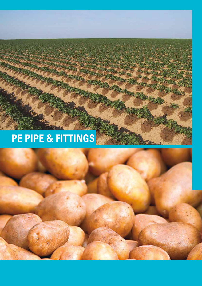## **PE PIPE & FITTINGS**

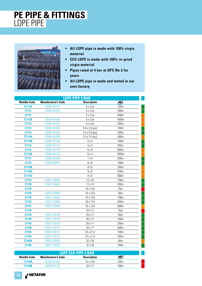#### **PE PIPE & FITTINGS** LDPE PIPE



- **All LDPE pipe is made with 100% virgin material**
- **ECO LDPE is made with 100% re-grind virgin material**
- **•** Pipes rated at 4 bar at 20<sup>°</sup>C No 2 for **years**
- **All LDPE pipe is made and tested in our own factory**

| <b>LDPE PIPE 4 BAR</b> |                            |                        |                  |  |
|------------------------|----------------------------|------------------------|------------------|--|
| <b>Netafim Code</b>    | <b>Manufacturer's Code</b> | <b>Description</b>     | M                |  |
| <b>Z1112A</b>          | 02080-451521               | $5 \times 3$ (s)       | 100m             |  |
| Z1112                  | 02080-451522               | $5 \times 3$ (s)       | 200m             |  |
| Z1111                  |                            | $5 \times 3$ (s)       | 500m             |  |
| <b>Z1112B</b>          | 02080-451545               | $5 \times 3$ (s)       | 1000m            |  |
| Z1110                  | 02080-451510               | $5 \times 3(h)$        | 200m             |  |
| Z1113                  | 02080-451580               | $5.5 \times 3.5$ (pcj) | 100m             |  |
| Z1114                  | 02080-451582               | $5.5 \times 3.5$ (pcj) | 200m             |  |
| <b>Z1114A</b>          | 02080-451585               | $5.5 \times 3.5$ (pcj) | 500 <sub>m</sub> |  |
| Z1115B                 | 02080-451708               | 6x4                    | 100m             |  |
| Z1115                  | 02080-451710               | 6x4                    | 200m             |  |
| Z1116                  | 02080-451715               | 6x4                    | 500m             |  |
| Z1115A                 | 02080-451720               | 6 x 4                  | 1000m            |  |
| Z1117                  | 02058-250046               | 7x4                    | 200m             |  |
| Z1118                  | 02058-250051               | $8 \times 6$           | 100m             |  |
| Z1118B                 |                            | $8 \times 6$           | 200m             |  |
| <b>Z1118A</b>          |                            | $8 \times 6$           | 250m             |  |
| Z1118C                 |                            | $8 \times 6$           | 500m             |  |
| Z1119                  | 02057-250055               | 12 x 10                | 100 <sub>m</sub> |  |
| Z1120                  | 02057-250057               | 12 x 10                | 200m             |  |
| Z1128                  |                            | 16 x 13.6              | 25m              |  |
| Z1129                  | 02057-250089               | 16 x 13.6              | 50 <sub>m</sub>  |  |
| Z1130                  | 02057-250087               | 16 x 13.6              | 100m             |  |
| Z1125                  | 02057-250090               | 16 x 13.6              | 200m             |  |
| Z1131                  | 02057-250093               | 16 x 13.6              | 500 <sub>m</sub> |  |
| Z1134                  |                            | 20 x 17                | 25m              |  |
| Z1135                  | 02057-250134               | 20 x 17                | 50 <sub>m</sub>  |  |
| Z1140                  | 02057-250137               | 20 x 17                | 100m             |  |
| Z1145                  | 02057-250139               | 20 x 17                | 200 <sub>m</sub> |  |
| Z1150                  | 02057-250141               | 20 x 17                | 500m             |  |
| Z1155                  | 02057-250172               | 25 x 21.4              | 100 <sub>m</sub> |  |
| Z1156                  | 02057-250172               | 25 x 21.4              | 200m             |  |
| <b>Z1160A</b>          | 02057-250203               | 32 x 28                | 50 <sub>m</sub>  |  |
| Z1160                  | 02057-250205               | 32 x 28                | 100 <sub>m</sub> |  |

| <b>LDPE ECO PIPE 4 BAR</b> |                            |                    |      |  |
|----------------------------|----------------------------|--------------------|------|--|
| <b>Netafim Code</b>        | <b>Manufacturer's Code</b> | <b>Description</b> |      |  |
| <b>Z1130R</b>              | 02059-251087               | $16 \times 13.6$   | 100m |  |
| <b>71140R</b>              | 02059-251137               | $20 \times 17$     | 100m |  |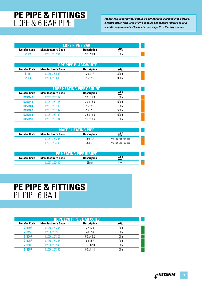# **PE PIPE & FITTINGS**

**Please call us for further details on our bespoke punched pipe service,**<br>
Please call us for further details on our bespoke punched pipe service,<br> **Please call us for further details** on our bespoke punched pipe service,<br> *Netafim offers variations of drip spacing and lengths tailored to your specific requirements. Please also see page 19 of the Drip section.*

| LDPE PIPE 6 BAR     |                            |                    |      |  |
|---------------------|----------------------------|--------------------|------|--|
| <b>Netafim Code</b> | <b>Manufacturer's Code</b> | <b>Description</b> |      |  |
| <b>Z1159</b>        | 02057-250244               | $32 \times 268$    | 100m |  |

| <b>LDPE PIPE BLACK/WHITE</b> |                            |                    |      |  |
|------------------------------|----------------------------|--------------------|------|--|
| Netafim Code                 | <b>Manufacturer's Code</b> | <b>Description</b> |      |  |
| <b>Z1151</b>                 | 02066-250598               | $20 \times 17$     | 300m |  |
| 71152                        | 02066-250600               | 25 x 21            | 300m |  |

| <b>LDPE HEATING PIPE GROUND</b> |                            |                    |                  |  |
|---------------------------------|----------------------------|--------------------|------------------|--|
| <b>Netafim Code</b>             | <b>Manufacturer's Code</b> | <b>Description</b> |                  |  |
| D250147                         | 02057-250147               | $20 \times 15.6$   | 100 <sub>m</sub> |  |
| D250146                         | 02057-250146               | $20 \times 15.6$   | 500 <sub>m</sub> |  |
| D <sub>250180</sub>             | 02057-250180               | 25 x 21            | 100 <sub>m</sub> |  |
| D250182                         | 02057-250182               | 25 x 21            | 500 <sub>m</sub> |  |
| D <sub>250189</sub>             | 02057-250189               | $25 \times 19.6$   | 500 <sub>m</sub> |  |
| D <sub>250191</sub>             | 02057-250191               | $25 \times 19.6$   | 100 <sub>m</sub> |  |

| <b>INAFF 3 HEATING PIPE!</b> |                            |                    |                      |
|------------------------------|----------------------------|--------------------|----------------------|
| Netafim Code                 | <b>Manufacturer's Code</b> | <b>Description</b> |                      |
|                              | 02057-252395               | 20x23              | Available on Request |
|                              | 02057-252405               | 25x23              | Available on Request |

| <b>PP HEATING PIPE RIBBED</b> |                            |                    |      |  |
|-------------------------------|----------------------------|--------------------|------|--|
| Netafim Code                  | <b>Manufacturer's Code</b> | <b>Description</b> |      |  |
|                               | 02057-252405               | 25mm               | 500m |  |

#### **PE PIPE & FITTINGS** PE PIPE 6 BAR

| <b>HDPE ECO PIPE 6 BAR COILS</b> |                            |                    |                  |
|----------------------------------|----------------------------|--------------------|------------------|
| <b>Netafim Code</b>              | <b>Manufacturer's Code</b> | <b>Description</b> |                  |
| <b>Z1310R</b>                    | 02056-251305               | 32 x 28            | 100 <sub>m</sub> |
| <b>Z1315R</b>                    | 02056-251315               | 40 x 36            | 100 <sub>m</sub> |
| <b>Z1320R</b>                    | 02056-251325               | $50 \times 45.2$   | 100 <sub>m</sub> |
| <b>Z1325R</b>                    | 02056-251335               | 63 x 57            | 100 <sub>m</sub> |
| <b>Z1330R</b>                    | 02056-251345               | 75 x 67.8          | 100 <sub>m</sub> |
| <b>Z1335R</b>                    | 02056-251355               | $90 \times 81.4$   | 100 <sub>m</sub> |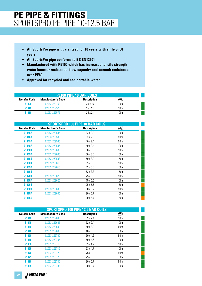#### **PE PIPE & FITTINGS** SPORTSPRO PE PIPE 10-12.5 BAR

- **All SportsPro pipe is guaranteed for 10 years with a life of 50 years**
- **All SportsPro pipe conforms to BS EN12201**
- **Manufactured with PE100 which has increased tensile strength water hammer resistance, flow capacity and scratch resistance over PE80**
- **Approved for recycled and non portable water**

| <b>PE100 PIPE 10 BAR COILS</b> |                            |                    |                 |  |
|--------------------------------|----------------------------|--------------------|-----------------|--|
| <b>Netafim Code</b>            | <b>Manufacturer's Code</b> | <b>Description</b> |                 |  |
| Z <sub>1409</sub>              | 02052-259150               | $20 \times 16$     | 100m            |  |
| <b>Z1412</b>                   | 02053-259570               | 25 x 21            | 50 <sub>m</sub> |  |
| 71410                          | 02053-259575               | $25 \times 21$     | 100m            |  |

| <b>SPORTSPRO 100 PIPE 10 BAR COILS</b> |                            |                    |                  |  |
|----------------------------------------|----------------------------|--------------------|------------------|--|
| <b>Netafim Code</b>                    | <b>Manufacturer's Code</b> | <b>Description</b> | 42               |  |
| <b>Z1445A</b>                          | 02053-259585               | $32 \times 2.0$    | 100 <sub>m</sub> |  |
| <b>Z1446A</b>                          | 02053-259580               | 32 x 2.0           | 50 <sub>m</sub>  |  |
| <b>Z1449A</b>                          | 02053-259590               | 40 x 2.4           | 50 <sub>m</sub>  |  |
| <b>Z1448A</b>                          | 02053-259595               | 40 x 2.4           | 100 <sub>m</sub> |  |
| <b>Z1450A</b>                          | 02053-259600               | $50 \times 3.0$    | 50 <sub>m</sub>  |  |
| Z1455A                                 | 02053-259605               | $50 \times 3.0$    | 100 <sub>m</sub> |  |
| Z1455B                                 | 02053-259598               | $50 \times 3.0$    | 150 <sub>m</sub> |  |
| <b>Z1460A</b>                          | 02053-259610               | 63 x 3.8           | 50 <sub>m</sub>  |  |
| Z1465A                                 | 02053-259615               | 63 x 3.8           | 100 <sub>m</sub> |  |
| Z1465B                                 |                            | 63 x 3.8           | 150 <sub>m</sub> |  |
| <b>Z1470A</b>                          | 02053-259620               | 75 x 5.6           | 50 <sub>m</sub>  |  |
| <b>Z1475A</b>                          | 02053-259625               | 75 x 5.6           | 100 <sub>m</sub> |  |
| <b>Z1475B</b>                          |                            | 75 x 5.6           | 150 <sub>m</sub> |  |
| <b>Z1480A</b>                          | 02053-259630               | $90 \times 6.7$    | 50 <sub>m</sub>  |  |
| <b>Z1485A</b>                          | 02053-259635               | $90 \times 6.7$    | 100 <sub>m</sub> |  |
| Z1485B                                 |                            | $90 \times 6.7$    | 150 <sub>m</sub> |  |

|                     | <b>SPORTSPRO 100 PIPE 12.5 BAR COILS</b> |                    |                  |  |  |
|---------------------|------------------------------------------|--------------------|------------------|--|--|
| <b>Netafim Code</b> | <b>Manufacturer's Code</b>               | <b>Description</b> | Æ                |  |  |
| Z1446               | 02053-259680                             | $32 \times 2.4$    | 50 <sub>m</sub>  |  |  |
| Z1445               | 02053-259685                             | $32 \times 2.4$    | 100 <sub>m</sub> |  |  |
| Z1449               | 02053-259690                             | $40 \times 3.0$    | 50 <sub>m</sub>  |  |  |
| Z1448               | 02053-259695                             | $40 \times 3.0$    | 100 <sub>m</sub> |  |  |
| Z1450               | 02053-259700                             | $50 \times 4.6$    | 50 <sub>m</sub>  |  |  |
| Z1455               | 02053-259705                             | $50 \times 4.6$    | 100 <sub>m</sub> |  |  |
| <b>Z1460</b>        | 02053-259710                             | 63 x 4.7           | 50 <sub>m</sub>  |  |  |
| Z1465               | 02053-259715                             | 63 x 4.7           | 100 <sub>m</sub> |  |  |
| Z1470               | 02053-259720                             | 75 x 5.6           | 50 <sub>m</sub>  |  |  |
| Z1475               | 02053-259725                             | 75 x 5.6           | 100 <sub>m</sub> |  |  |
| Z1480               | 02053-259730                             | $90 \times 6.7$    | 50 <sub>m</sub>  |  |  |
| Z1485               | 02053-259735                             | $90 \times 6.7$    | 100 <sub>m</sub> |  |  |

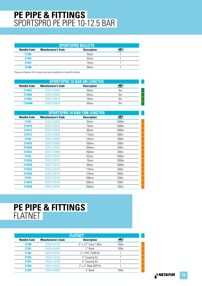#### **PE PIPE & FITTINGS** SPORTSPRO PE PIPE 10-12.5 BAR

| <b>SPORTSPRO BULLETS</b> |                            |                    |  |  |
|--------------------------|----------------------------|--------------------|--|--|
| <b>Netafim Code</b>      | <b>Manufacturer's Code</b> | <b>Description</b> |  |  |
| Z1405                    |                            | 50 <sub>mm</sub>   |  |  |
| <b>Z1406</b>             |                            | 63mm               |  |  |
| <b>Z1407</b>             |                            | 75mm               |  |  |
| <b>Z1408</b>             |                            | 90mm               |  |  |

Please call Netafim UK for details and stock availability on SportsPro Bullets.

| <b>SPORTSPRO 10 BAR 6M LENGTHS</b> |                            |                    |    |
|------------------------------------|----------------------------|--------------------|----|
| <b>Netafim Code</b>                | <b>Manufacturer's Code</b> | <b>Description</b> |    |
| <b>Z1450J</b>                      | 02053-259598               | 50 <sub>mm</sub>   | 6m |
| <b>Z1450K</b>                      | 02053-259608               | 63mm               | 6m |
| <b>Z1450L</b>                      | 02053-259618               | 75mm               | 6m |
| <b>71450M</b>                      | 02053-259628               | 90 <sub>mm</sub>   | 6m |

| <b>SPORTSPRO 10 BAR 12M LENGTHS</b> |                            |                    |                  |
|-------------------------------------|----------------------------|--------------------|------------------|
| <b>Netafim Code</b>                 | <b>Manufacturer's Code</b> | <b>Description</b> | 40               |
| Z1451                               | 02053-259608               | 63mm               | 1000m            |
| Z1451A                              | 02053-259618               | 75mm               | 1000m            |
| Z1451C                              | 02053-259639               | 90 <sub>mm</sub>   | 1000m            |
| Z1451C                              | 02053-259639               | 110mm              | 500 <sub>m</sub> |
| Z1452                               | 02053-259644               | $125$ mm           | 500 <sub>m</sub> |
| <b>Z1452A</b>                       | 02053-259649               | 160mm              | 200 <sub>m</sub> |
| Z1452B                              | 02053-259654               | 200mm              | 200 <sub>m</sub> |
| Z1452C                              | 02053-259659               | 250mm              | 200 <sub>m</sub> |
| Z1453                               | 02053-259709               | 63mm               | 1000m            |
| Z1453A                              | 02053-259719               | 75mm               | 1000m            |
| Z1453B                              | 02053-259729               | 90mm               | 1000m            |
| Z1453C                              | 02053-259739               | 110 <sub>mm</sub>  | 500m             |
| <b>Z1453D</b>                       | 02053-259744               | $125$ mm           | 500 <sub>m</sub> |
| <b>Z1454</b>                        | 02053-259749               | 160mm              | 200 <sub>m</sub> |
| <b>Z1454A</b>                       | 02053-259754               | 200 <sub>mm</sub>  | 200 <sub>m</sub> |
| Z1454B                              | 02053-259759               | 250 <sub>mm</sub>  | 200 <sub>m</sub> |

#### **PE PIPE & FITTINGS** FLATNET

| FLATNET             |                            |                       |                  |
|---------------------|----------------------------|-----------------------|------------------|
| <b>Netafim Code</b> | <b>Manufacturer's Code</b> | <b>Description</b>    |                  |
| <b>Z1380</b>        | 43000-010150               | 3" x 1/2" Every 1.83m | 100 <sub>m</sub> |
| Z1381               | 43000-000560               | 3" Blank              | 100 <sub>m</sub> |
| Z1382               | 43040-018250               | 3" x PVC 75/90 Kit    |                  |
| Z1383               | 43040-018150               | 3" Coupling Kit       |                  |
| Z1391               | 43040-018300               | 4" Coupling Kit       |                  |
| Z1384               | 43040-018200               | 3" x 3" Male BSP Kit  |                  |
| Z1390               | 43000-000600               | 4" Blank              | 100 <sub>m</sub> |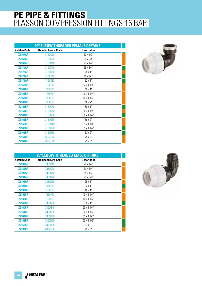| 90° ELBOW THREADED FEMALE OFFTAKE |                    |  |
|-----------------------------------|--------------------|--|
| <b>Manufacturer's Code</b>        | <b>Description</b> |  |
| 7150C10                           | 20 x 1/2"          |  |
| 7150C20                           | 20 x 3/4"          |  |
| 7150D10                           | 25 x 1/2"          |  |
| 7150D20                           | 25 x 3/4"          |  |
| 7150D30                           | 25 x 1"            |  |
| 7150E20                           | 32 x 3/4"          |  |
| 7150E30                           | 32 x 1"            |  |
| 7150E40                           | 32 x 1 1/4"        |  |
| 7150F30                           | 40 x 1"            |  |
| 7150F40                           | 40 x 1 1/4"        |  |
| 7150F50                           | 40 x 1 1/2"        |  |
| 7150F60                           | 40 x 2"            |  |
| 7150G30                           | $50 \times 1"$     |  |
| 7150G40                           | 50 x 1 1/4"        |  |
| 7150G50                           | $50 \times 11/2"$  |  |
| 7150G60                           | $50 \times 2"$     |  |
| 7150H40                           | 63 x 1 1/4"        |  |
| 7150H50                           | 63 x 1 1/2"        |  |
| 7150H60                           | 63 x 2"            |  |
| 87150J60                          | 75 x 2"            |  |
| 87150J80                          | 75 x 3"            |  |
|                                   |                    |  |



| 90° ELBOW THREADED MALE OFFTAKE |                            |                    |  |
|---------------------------------|----------------------------|--------------------|--|
| <b>Netafim Code</b>             | <b>Manufacturer's Code</b> | <b>Description</b> |  |
| <b>Z2188AP</b>                  | 7850C10                    | 20 x 1/2"          |  |
| <b>Z2189AP</b>                  | 7850C20                    | 20 x 3/4"          |  |
| <b>Z2190AP</b>                  | 7850D10                    | 25 x 1/2"          |  |
| <b>Z2191AP</b>                  | 7850D20                    | 25 x 3/4"          |  |
| <b>Z2192AP</b>                  | 7850D30                    | $25 \times 1$ "    |  |
| <b>Z2193AP</b>                  | 7850E30                    | $32 \times 1$ "    |  |
| <b>Z2193BP</b>                  | 7850F30                    | $40 \times 1"$     |  |
| <b>Z2159CP</b>                  | 7850F40                    | 40 x 1 1/4"        |  |
| <b>Z2193CP</b>                  | 7850F50                    | 40 x 1 1/2"        |  |
| <b>Z2160DP</b>                  | 7850G30                    | $50 \times 1"$     |  |
| <b>Z2160CP</b>                  | 7850G40                    | $50 \times 11/4"$  |  |
| <b>Z2161CP</b>                  | 7850G50                    | $50 \times 11/2"$  |  |
| <b>Z2162DP</b>                  | 7850H40                    | 63 x 1 1/4"        |  |
| <b>Z2162EP</b>                  | 7850H50                    | 63 x 1 1/2"        |  |
| <b>Z2162CP</b>                  | 7850H60                    | 63 x 2"            |  |
| <b>Z2163CP</b>                  | 87850K80                   | $90 \times 3"$     |  |

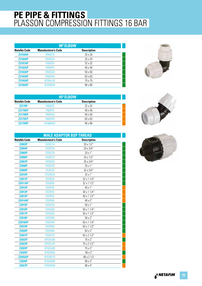| 90° ELBOW           |                            |                    |  |
|---------------------|----------------------------|--------------------|--|
| <b>Netafim Code</b> | <b>Manufacturer's Code</b> | <b>Description</b> |  |
| <b>Z2159AP</b>      | <b>7050CC0</b>             | $20 \times 20$     |  |
| <b>Z2160AP</b>      | 7050DD0                    | 25 x 25            |  |
| <b>Z2161AP</b>      | 7050EE0                    | 32 x 32            |  |
| <b>Z2162AP</b>      | 7050FF0                    | $40 \times 40$     |  |
| <b>Z2163AP</b>      | 7050GG0                    | $50 \times 50$     |  |
| <b>Z2164AP</b>      | 7050HH0                    | 63 x 63            |  |
| <b>Z2165AP</b>      | 87050JJ0                   | 75 x 75            |  |
| <b>Z2166AP</b>      | 87050KK0                   | $90 \times 90$     |  |



| 45° ELBOW      |                            |                    |  |
|----------------|----------------------------|--------------------|--|
| Netafim Code   | <b>Manufacturer's Code</b> | <b>Description</b> |  |
| <b>Z2179P</b>  | 7460EE0                    | 32 x 32            |  |
| <b>Z2179AP</b> | 7460FF0                    | $40 \times 40$     |  |
| <b>Z2179BP</b> | 7460GG0                    | $50 \times 50$     |  |
| <b>Z2179CP</b> | 7460HH0                    | 63 x 63            |  |
| <b>Z2179DP</b> | 87460KK0                   | 90 x 90            |  |
|                |                            |                    |  |

| <b>MALE ADAPTOR BSP THREAD</b> |                            |                    |  |
|--------------------------------|----------------------------|--------------------|--|
| <b>Netafim Code</b>            | <b>Manufacturer's Code</b> | <b>Description</b> |  |
| <b>Z2003P</b>                  | 7020C10                    | 20 x 1/2"          |  |
| <b>Z2004P</b>                  | 7020C20                    | 20 x 3/4"          |  |
| Z2005P                         | 7020C30                    | 20 x 1"            |  |
| <b>Z2006P</b>                  | 7020D10                    | 25 x 1/2"          |  |
| <b>Z2007P</b>                  | 7020D20                    | 25 x 3/4"          |  |
| <b>Z2008P</b>                  | 7020D30                    | 25 x 1"            |  |
| <b>Z2009P</b>                  | 7020E20                    | 32 x 3/4"          |  |
| <b>Z2010P</b>                  | Z7020E30                   | 32 x 1"            |  |
| Z2011P                         | 7020E40                    | 32 x 1 1/4"        |  |
| <b>Z2011AP</b>                 | 7020E50                    | 32 x 1 1/2"        |  |
| <b>Z2012P</b>                  | 7020F30                    | 40 x 1"            |  |
| <b>Z2013P</b>                  | 7020F40                    | 40 x 1 1/4"        |  |
| <b>Z2014P</b>                  | 7020F50                    | 40 x 1 1/2"        |  |
| <b>Z2014AP</b>                 | 7020F60                    | 40 x 2"            |  |
| <b>Z2015P</b>                  | 7020G30                    | $50 \times 1$ "    |  |
| <b>Z2016P</b>                  | 7020G40                    | $50 \times 11/4"$  |  |
| <b>Z2017P</b>                  | 7020G50                    | $50 \times 11/2"$  |  |
| <b>Z2018P</b>                  | 7020G60                    | $50 \times 2"$     |  |
| <b>Z2018AP</b>                 | 7020H40                    | 63 x 1 1/4"        |  |
| <b>Z2019P</b>                  | 7020H50                    | 63 x 1 1/2"        |  |
| <b>Z2020P</b>                  | 7020H60                    | 63 x 2"            |  |
| Z2021P                         | 7020H70                    | 63 x 2 1/2"        |  |
| <b>Z2022P</b>                  | 87020J60                   | 75 x 2"            |  |
| <b>Z2023P</b>                  | 87020J70                   | 75 x 2 1/2"        |  |
| <b>Z2024P</b>                  | 87020J80                   | 75 x 3"            |  |
| <b>Z2025P</b>                  | 87020K60                   | $90 \times 2"$     |  |
| <b>Z2025AP</b>                 | 87020K70                   | 90 x 2 1/2         |  |
| <b>Z2026P</b>                  | 87020K80                   | $90 \times 3$ "    |  |
| <b>Z2027P</b>                  | 87020K90                   | 90 x 4"            |  |



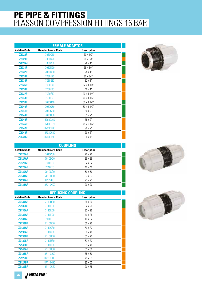| <b>FEMALE ADAPTOR</b> |                            |                    |  |
|-----------------------|----------------------------|--------------------|--|
| <b>Netafim Code</b>   | <b>Manufacturer's Code</b> | <b>Description</b> |  |
| <b>Z2028P</b>         | 7030C10                    | 20 x 1/2"          |  |
| <b>Z2029P</b>         | 7030C20                    | 20 x 3/4"          |  |
| <b>Z2029AP</b>        | 7030C30                    | 20 x 1"            |  |
| <b>Z2031P</b>         | 7030D20                    | 25 x 3/4"          |  |
| <b>Z2032P</b>         | 7030D30                    | 25x1"              |  |
| Z2033P                | 7030E20                    | 32 x 3/4"          |  |
| <b>Z2034P</b>         | 7030E30                    | 32 x 1"            |  |
| Z2035P                | 7030E40                    | 32 x 1 1/4"        |  |
| <b>Z2036P</b>         | 7030F30                    | 40 x 1"            |  |
| <b>Z2037P</b>         | 7030F40                    | 40 x 1 1/4"        |  |
| <b>Z2043P</b>         | 7030F50                    | 40 x 1 1/2"        |  |
| <b>Z2039P</b>         | 7030G40                    | 50 x 1 1/4"        |  |
| <b>Z2040P</b>         | 7030G50                    | $50 \times 11/2"$  |  |
| <b>Z2041P</b>         | 7030G60                    | $50 \times 2"$     |  |
| <b>Z2044P</b>         | 7030H60                    | 63 x 2"            |  |
| <b>Z2045P</b>         | 87030J60                   | 75 x 2"            |  |
| <b>Z2046P</b>         | 87030J70                   | 75 x 2 1/2"        |  |
| <b>Z2047P</b>         | 87030K60                   | $90 \times 2"$     |  |
| <b>Z2048P</b>         | 87030K80                   | $90 \times 3"$     |  |
| <b>Z2048AP</b>        | 87030K90                   | $90 \times 4$ "    |  |
|                       |                            |                    |  |

| <b>COUPLING</b>     |                            |                    |  |
|---------------------|----------------------------|--------------------|--|
| <b>Netafim Code</b> | <b>Manufacturer's Code</b> | <b>Description</b> |  |
| <b>Z2126AP</b>      | 7010CC0                    | $20 \times 20$     |  |
| <b>Z2127AP</b>      | 7010DD0                    | 25 x 25            |  |
| <b>Z2128AP</b>      | 7010EE0                    | 32 x 32            |  |
| <b>Z2129AP</b>      | 7010FF0                    | $40 \times 40$     |  |
| <b>Z2130AP</b>      | 7010GG0                    | $50 \times 50$     |  |
| <b>Z2131AP</b>      | 7010HH0                    | 63 x 63            |  |
| <b>Z2132AP</b>      | 87010JJ                    | 75 x 75            |  |
| <b>Z2133AP</b>      | 87010KK0                   | $90 \times 90$     |  |

| <b>REDUCING COUPLING</b> |                            |                    |  |
|--------------------------|----------------------------|--------------------|--|
| <b>Netafim Code</b>      | <b>Manufacturer's Code</b> | <b>Description</b> |  |
| <b>Z2134AP</b>           | 7110DC0                    | 25 x 20            |  |
| <b>Z2135BP</b>           | 7110EC0                    | 32 x 20            |  |
| <b>Z2135AP</b>           | 7110ED0                    | 32 x 25            |  |
| <b>Z2136AP</b>           | 7110FD0                    | 40 x 25            |  |
| <b>Z2137AP</b>           | 7110FE0                    | 40 x 32            |  |
| <b>Z2138BP</b>           | 7110GD0                    | $50 \times 25$     |  |
| <b>Z2138AP</b>           | 7110GE0                    | 50 x 32            |  |
| <b>Z2139AP</b>           | 7110GF0                    | 50 x 40            |  |
| <b>Z2139BP</b>           | 7110HD0                    | 63 x 25            |  |
| <b>Z2139CP</b>           | 7110HE0                    | 63 x 32            |  |
| <b>Z2140CP</b>           | 7110HF0                    | 63 x 40            |  |
| <b>Z2140AP</b>           | 7110HG0                    | 63 x 50            |  |
| <b>Z2126CP</b>           | 87110JG0                   | 75 x 50            |  |
| <b>Z2126BP</b>           | 87110JH0                   | 75 x 63            |  |
| <b>Z2127BP</b>           | 87110KH0                   | $90 \times 63$     |  |
| <b>Z2129BP</b>           | 87110KJ0                   | 90 x 75            |  |



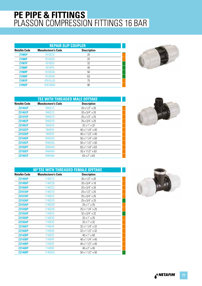| <b>REPAIR SLIP COUPLER</b> |                            |                    |  |
|----------------------------|----------------------------|--------------------|--|
| <b>Netafim Code</b>        | <b>Manufacturer's Code</b> | <b>Description</b> |  |
| Z1985P                     | 7610CC0                    | 20                 |  |
| Z1986P                     | 7610DD0                    | 25                 |  |
| <b>Z1987P</b>              | 7610EE0                    | 32                 |  |
| <b>Z1988P</b>              | 7610FF0                    | 40                 |  |
| Z1989P                     | 7610GG0                    | 50                 |  |
| Z1990P                     | 7610HH0                    | 63                 |  |
| Z1991P                     | 87610JJ0                   | 75                 |  |
| Z1992P                     | 87610KK0                   | 90                 |  |



| TEE WITH THREADED MALE OFFTAKE |                            |                                |  |
|--------------------------------|----------------------------|--------------------------------|--|
| <b>Netafim Code</b>            | <b>Manufacturer's Code</b> | <b>Description</b>             |  |
| <b>Z2145CP</b>                 | 7840C1C                    | 20 x 1/2" x 20                 |  |
| <b>Z2146CP</b>                 | 7840C2C                    | 20 x 3/4" x 20                 |  |
| <b>Z2147CP</b>                 | 7840D1D                    | 25 x 1/2" x 25                 |  |
| <b>Z2148CP</b>                 | 7840D2D                    | 25 x 3/4" x 25                 |  |
| <b>Z2150CP</b>                 | 7840E3E                    | $32 \times 1'' \times 32$      |  |
| <b>Z2152CP</b>                 | 7840F4F                    | $40 \times 11/4$ " $\times 40$ |  |
| <b>Z2152DP</b>                 | 7840F5F                    | 40 x 1 1/2" x 40               |  |
| <b>Z2154DP</b>                 | 7840G4G                    | $50 \times 11/4$ " $\times 50$ |  |
| <b>Z2154CP</b>                 | 7840G5G                    | $50 \times 11/2$ " $\times 50$ |  |
| <b>Z2155FP</b>                 | 7840H4H                    | $63 \times 11/4$ " $\times 63$ |  |
| <b>Z2155EP</b>                 | 7840H5H                    | $63 \times 11/2$ " x 63        |  |
| <b>Z2155CP</b>                 | 7840H6H                    | $63 \times 2'' \times 63$      |  |
|                                |                            |                                |  |

|                     | 90° TEE WITH THREADED FEMALE OFFTAKE |                                |
|---------------------|--------------------------------------|--------------------------------|
| <b>Netafim Code</b> | <b>Manufacturer's Code</b>           | <b>Description</b>             |
| <b>Z2149AP</b>      | 7140C1C                              | 20 x 1/2" x 20                 |
| <b>Z2149DP</b>      | 7140C2B                              | 20 x 3/4" x 16                 |
| <b>Z2150AP</b>      | 7140C2C                              | 20 x 3/4" x 20                 |
| <b>Z2151AP</b>      | 7140D1D                              | 25 x 1/2" x 25                 |
| <b>Z2151DP</b>      | 7140D2C                              | 25 x 3/4" x 20                 |
| <b>Z2152AP</b>      | 7140D2D                              | 25 x 3/4" x 25                 |
| <b>Z2153AP</b>      | 7140D3D                              | 25 x 1" x 25                   |
| <b>Z2153DP</b>      | 7140D4D                              | 25 x 1 1/4" x 25               |
| <b>Z2155AP</b>      | 7140E2E                              | 32 x 3/4" x 32                 |
| <b>Z2155DP</b>      | 7140E3D                              | $32 \times 1'' \times 25$      |
| <b>Z2156AP</b>      | 7140E3E                              | $32 \times 1'' \times 32$      |
| <b>Z2156EP</b>      | 7140E4E                              | $32 \times 11/4$ " x 32        |
| <b>Z2156DP</b>      | 7140E5E                              | $32 \times 11/2$ " x 32        |
| <b>Z2142BP</b>      | 7140F3F                              | 40 x 1" x 40                   |
| <b>Z2143BP</b>      | 7140F4F                              | 40 x 1 1/4" x 40               |
| <b>Z2144BP</b>      | 7140F5F                              | 40 x 1 1/2" x 40               |
| <b>Z2144DP</b>      | 7140F6F                              | 40 x 2" x 40                   |
| <b>Z2146BP</b>      | 7140G5G                              | $50 \times 11/2$ " $\times 50$ |

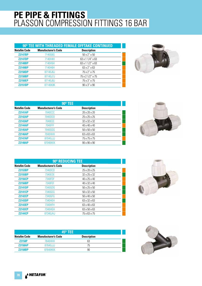| 90° TEE WITH THREADED FEMALE OFFTAKE CONTINUED |                            |                                |
|------------------------------------------------|----------------------------|--------------------------------|
| <b>Netafim Code</b>                            | <b>Manufacturer's Code</b> | <b>Description</b>             |
| <b>Z2147BP</b>                                 | 7140G6G                    | $50 \times 2'' \times 50$      |
| <b>Z2147DP</b>                                 | 7140H4H                    | $63 \times 11/4$ " $\times 63$ |
| <b>Z2148BP</b>                                 | 7140H5H                    | $63 \times 11/2$ " $\times 63$ |
| <b>Z2149BP</b>                                 | 7140H6H                    | $63 \times 2'' \times 63$      |
| <b>Z2150DP</b>                                 | 87140J6J                   | 75 x 2" x 75                   |
| <b>Z2150BP</b>                                 | 87140J7J                   | 75 x 2 1/2" x 75               |
| <b>Z2150EP</b>                                 | 87140J8J                   | 75 x 3" x 75                   |
| <b>Z2151BP</b>                                 | 87140K8K                   | $90 \times 3'' \times 90$      |



| <b>90° TEE</b>      |                            |                          |  |
|---------------------|----------------------------|--------------------------|--|
| <b>Netafim Code</b> | <b>Manufacturer's Code</b> | <b>Description</b>       |  |
| <b>Z2141AP</b>      | <b>7040CCC</b>             | 20 x 20 x 20             |  |
| <b>Z2142AP</b>      | 7040DDD                    | 25 x 25 x 25             |  |
| <b>Z2143AP</b>      | 7040EEE                    | 32 x 32 x 32             |  |
| <b>Z2144AP</b>      | 7040FFF                    | $40 \times 40 \times 40$ |  |
| <b>Z2145AP</b>      | 7040GGG                    | $50 \times 50 \times 50$ |  |
| <b>Z2146AP</b>      | 7040HHH                    | 63 x 63 x 63             |  |
| <b>Z2147AP</b>      | 87040JJJ                   | 75 x 75 x 75             |  |
| <b>Z2148AP</b>      | <b>87040KKK</b>            | 90 x 90 x 90             |  |



| 90° REDUCING TEE                                                        |          |                          |  |  |  |
|-------------------------------------------------------------------------|----------|--------------------------|--|--|--|
| <b>Netafim Code</b><br><b>Manufacturer's Code</b><br><b>Description</b> |          |                          |  |  |  |
| <b>Z2153BP</b>                                                          | 7340DCD  | 25 x 20 x 25             |  |  |  |
| <b>Z2155BP</b>                                                          | 7340EDE  | 32 x 25 x 32             |  |  |  |
| <b>Z2156CP</b>                                                          | 7340FDF  | 40 x 25 x 40             |  |  |  |
| <b>Z2156BP</b>                                                          | 7340FEF  | 40 x 32 x 40             |  |  |  |
| <b>Z2141DP</b>                                                          | 7340GDG  | $50 \times 25 \times 50$ |  |  |  |
| <b>Z2141CP</b>                                                          | 7340GEG  | $50 \times 32 \times 50$ |  |  |  |
| <b>Z2142CP</b>                                                          | 7340GFG  | $50 \times 40 \times 50$ |  |  |  |
| <b>Z2143DP</b>                                                          | 7340HEH  | 63 x 32 x 63             |  |  |  |
| <b>Z2143EP</b>                                                          | 7340HFH  | 63 x 40 x 63             |  |  |  |
| <b>Z2143CP</b>                                                          | 7340HGH  | 63 x 50 x 63             |  |  |  |
| <b>Z2144CP</b>                                                          | 87340JHJ | 75 x 63 x 75             |  |  |  |

| $45^{\circ}$ TEE    |                            |                    |  |
|---------------------|----------------------------|--------------------|--|
| <b>Netafim Code</b> | <b>Manufacturer's Code</b> | <b>Description</b> |  |
| <b>Z2158P</b>       | 7640HHH                    | 63                 |  |
| <b>Z2158AP</b>      | 87640JJJ                   | 75                 |  |
| <b>Z2158BP</b>      | 87640KKK                   | 90                 |  |



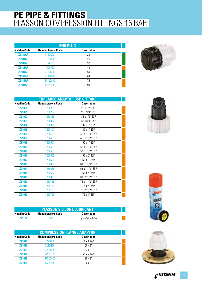| <b>END PLUG</b>     |                            |                    |  |
|---------------------|----------------------------|--------------------|--|
| <b>Netafim Code</b> | <b>Manufacturer's Code</b> | <b>Description</b> |  |
| <b>Z2180AP</b>      | 7120C00                    | 20                 |  |
| <b>Z2181AP</b>      | 7120D00                    | 25                 |  |
| <b>Z2182AP</b>      | 7120E00                    | 32                 |  |
| <b>Z2183AP</b>      | 7120F00                    | 40                 |  |
| <b>Z2184AP</b>      | 7120G00                    | 50                 |  |
| <b>Z2185AP</b>      | 7120H00                    | 63                 |  |
| <b>Z2186AP</b>      | 87120J00                   | 75                 |  |
| <b>Z2187AP</b>      | 87120K00                   | 90                 |  |



| <b>THREADED ADAPTOR BSP OFFTAKE</b> |                            |                    |  |
|-------------------------------------|----------------------------|--------------------|--|
| <b>Netafim Code</b>                 | <b>Manufacturer's Code</b> | <b>Description</b> |  |
| Z21000                              | 7250255                    | 25 x 1/2" BSP      |  |
| <b>Z21001</b>                       | 7250257                    | 25 x 3/4" BSP      |  |
| <b>Z21002</b>                       | 7250325                    | 32 x 1/2" BSP      |  |
| Z21003                              | 7250327                    | 32 x 3/4" BSP      |  |
| <b>Z21004</b>                       | 7250321                    | 32 x 1" BSP        |  |
| Z21005                              | 7250401                    | 40 x 1" BSP        |  |
| <b>Z21006</b>                       | 7250408                    | 40 x 1 1/4" BSP    |  |
| <b>Z21007</b>                       | 7250405                    | 40 x 1 1/2" BSP    |  |
| <b>Z21008</b>                       | 7250501                    | 50 x 1" BSP        |  |
| <b>Z21009</b>                       | 7250508                    | 50 x 1 1/4" BSP    |  |
| <b>Z21010</b>                       | 7250505                    | 50 x 1 1/2" BSP    |  |
| <b>Z21011</b>                       | 7250502                    | 50 x 2" BSP        |  |
| Z21012                              | 7250631                    | 63 x 1" BSP        |  |
| <b>Z21013</b>                       | 7250638                    | 63 x 1 1/4" BSP    |  |
| Z21014                              | 7250635                    | 63 x 1 1/2" BSP    |  |
| <b>Z21015</b>                       | 7250632                    | 63 x 2" BSP        |  |
| Z21016                              | 7250625                    | 63 x 2 1/2" BSP    |  |
| Z21017                              | 7250715                    | 75 x 1 1/2" BSP    |  |
| <b>Z21018</b>                       | 7250752                    | 75 x 2" BSP        |  |
| Z21019                              | 7250725                    | 75 x 2 1/2" BSP    |  |
| <b>Z21020</b>                       | 7250753                    | 75 x 3" BSP        |  |

| <b>PLASSON SILICONE LUBRICANT</b> |                            |                    |  |
|-----------------------------------|----------------------------|--------------------|--|
| Netafim Code                      | <b>Manufacturer's Code</b> | <b>Description</b> |  |
| <b>Z21184</b>                     | FRN3N                      | Spray 500ml Can    |  |

| <b>COMPRESSION FLANGE ADAPTOR</b> |                            |                    |  |
|-----------------------------------|----------------------------|--------------------|--|
| <b>Netafim Code</b>               | <b>Manufacturer's Code</b> | <b>Description</b> |  |
| <b>Z21021</b>                     | 7220G50                    | 50 x 1 1/2"        |  |
| <b>Z21022</b>                     | <b>7220G60</b>             | $50 \times 2$ "    |  |
| <b>Z21023</b>                     | 7220H60                    | $63 \times 2"$     |  |
| <b>Z21024</b>                     | 87220J70                   | 75 x 2 1/2"        |  |
| <b>Z21025</b>                     | 87220K80                   | $90 \times 3$ "    |  |
| 721026                            | 87220K90                   | $90 \times 4$ "    |  |





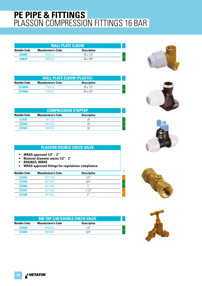| <b>WALL PLATE ELBOW</b> |                            |                    |  |
|-------------------------|----------------------------|--------------------|--|
| Netafim Code            | <b>Manufacturer's Code</b> | <b>Description</b> |  |
| <b>72000P</b>           | 9055010                    | $20 \times 1/2"$   |  |
| <b>72001P</b>           | 9055D20                    | $25 \times 3/4$ "  |  |



| <b>COMPRESSION STOPTAP</b> |                            |                    |  |
|----------------------------|----------------------------|--------------------|--|
| <b>Netafim Code</b>        | <b>Manufacturer's Code</b> | <b>Description</b> |  |
| <b>Z21031</b>              | 3407CC0                    | 20                 |  |
| <b>Z21032</b>              | 3407DD0                    | 25                 |  |
| <b>Z21033</b>              | 3407FF0                    | 32                 |  |

#### **PLASSON DOUBLE CHECK VALVE**

- **WRAS approved 1/2" 2"**
- **Nominal diameter mains 1/2" 2"**
- **BS6282/5, WRAS**
- **WRAS approved fittings for regulations compliance**

| <b>Netafim Code</b> | <b>Manufacturer's Code</b> | <b>Description</b> |  |
|---------------------|----------------------------|--------------------|--|
| <b>Z21034</b>       | 9077100                    | 1/2"               |  |
| <b>Z21035</b>       | 9077200                    | 3/4"               |  |
| <b>Z21036</b>       | 9077300                    | 1 <sup>''</sup>    |  |
| <b>Z21037</b>       | 9077500                    | 11/2"              |  |
| <b>Z21038</b>       | 9077600                    | ን"                 |  |

| <b>BIB TAP C/W DOUBLE CHECK VALVE</b> |                            |                    |  |
|---------------------------------------|----------------------------|--------------------|--|
| Netafim Code                          | <b>Manufacturer's Code</b> | <b>Description</b> |  |
| <b>Z21039</b>                         | 9056000                    |                    |  |
| 721040                                | 9056D00                    | 3/4"               |  |









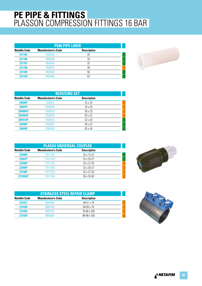| <b>PE80 PIPE LINER</b> |                            |                    |  |
|------------------------|----------------------------|--------------------|--|
| <b>Netafim Code</b>    | <b>Manufacturer's Code</b> | <b>Description</b> |  |
| <b>Z21185</b>          | 7950C00                    | 20                 |  |
| <b>Z21186</b>          | 7950D00                    | 25                 |  |
| <b>Z21187</b>          | 7950E00                    | 32                 |  |
| <b>Z21188</b>          | 7950F00                    | 40                 |  |
| Z21189                 | <b>7950G00</b>             | 50                 |  |
| <b>Z21190</b>          | 7950H00                    | 63                 |  |



|                     | <b>REDUCING SET</b>        |                    |  |  |  |
|---------------------|----------------------------|--------------------|--|--|--|
| <b>Netafim Code</b> | <b>Manufacturer's Code</b> | <b>Description</b> |  |  |  |
| <b>Z8496P</b>       | 793DC0                     | 25 x 20            |  |  |  |
| <b>Z8497P</b>       | 7930ED0                    | $32 \times 25$     |  |  |  |
| <b>Z8498AP</b>      | 7930GD0                    | $50 \times 25$     |  |  |  |
| <b>Z8499AP</b>      | 7930HE0                    | 63 x 32            |  |  |  |
| <b>Z8497AP</b>      | 7930EC0                    | $32 \times 20$     |  |  |  |
| <b>Z8498P</b>       | 7930GE0                    | 50 x 32            |  |  |  |
| <b>Z8499P</b>       | 7930HG0                    | 63 x 50            |  |  |  |

| <b>PLASS4 UNIVERSAL COUPLER</b> |                            |                     |  |
|---------------------------------|----------------------------|---------------------|--|
| <b>Netafim Code</b>             | <b>Manufacturer's Code</b> | <b>Description</b>  |  |
| <b>Z2096P</b>                   | 77017251                   | 25 x 15-22          |  |
| <b>Z2097P</b>                   | 77017252                   | 25 x 20-27          |  |
| <b>Z2098P</b>                   | 77017253                   | $25 \times 27 - 35$ |  |
| <b>Z2099P</b>                   | 77017500                   | 32 x 20-27          |  |
| <b>Z2100P</b>                   | 77017323                   | 32 x 27-35          |  |
| <b>72100AP</b>                  | 77017504                   | $50 \times 35 - 50$ |  |



| <b>STAINLESS STEEL REPAIR CLAMP</b> |                            |                     |  |
|-------------------------------------|----------------------------|---------------------|--|
| <b>Netafim Code</b>                 | <b>Manufacturer's Code</b> | <b>Description</b>  |  |
| <b>Z21027</b>                       | 6800600                    | $48-51 \times 76$   |  |
| <b>Z21028</b>                       | 6800700                    | $60 - 65 \times 76$ |  |
| <b>Z21029</b>                       | 6800750                    | 78-88 x 200         |  |
| <b>Z21030</b>                       | 6800800                    | 88-98 x 200         |  |

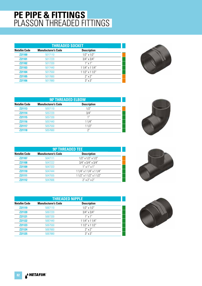#### **PE PIPE & FITTINGS** PLASSON THREADED FITTINGS

| <b>THREADED SOCKET</b> |                            |                     |  |
|------------------------|----------------------------|---------------------|--|
| <b>Netafim Code</b>    | <b>Manufacturer's Code</b> | <b>Description</b>  |  |
| <b>Z21100</b>          | 5017110                    | $1/2$ " x $1/2$ "   |  |
| Z21101                 | 5017220                    | $3/4$ " x $3/4$ "   |  |
| Z21102                 | 5017330                    | $1''$ x $1''$       |  |
| Z21103                 | 5017440                    | 1 1/4" x 1 1/4"     |  |
| <b>Z21104</b>          | 5017550                    | $11/2$ " x $11/2$ " |  |
| <b>Z21105</b>          | 5017660                    | $2''$ x $2''$       |  |
| <b>Z21106</b>          | 5017880                    | $3'' \times 3''$    |  |



|                     | 90° THREADED ELBOW         |                    |  |  |
|---------------------|----------------------------|--------------------|--|--|
| <b>Netafim Code</b> | <b>Manufacturer's Code</b> | <b>Description</b> |  |  |
| <b>Z21113</b>       | 5057110                    | 1/2"               |  |  |
| <b>Z21114</b>       | 5057220                    | 3/4"               |  |  |
| <b>Z21115</b>       | 5057330                    | 1''                |  |  |
| <b>Z21116</b>       | 5057440                    | 11/4"              |  |  |
| <b>Z21117</b>       | 5057550                    | 11/2"              |  |  |
| <b>Z21118</b>       | 5057660                    | 2"                 |  |  |



|                     | 90 <sup>°</sup> THREADED TEE |                                  |  |  |
|---------------------|------------------------------|----------------------------------|--|--|
| <b>Netafim Code</b> | <b>Manufacturer's Code</b>   | <b>Description</b>               |  |  |
| <b>Z21107</b>       | 5047111                      | $1/2$ " x $1/2$ " x $1/2$ "      |  |  |
| <b>Z21108</b>       | 5047222                      | $3/4$ " x $3/4$ " x $3/4$ "      |  |  |
| Z21109              | 5047333                      | $1''$ x $1''$ x $1''$            |  |  |
| <b>Z21110</b>       | 5047444                      | $11/4$ " x 1 $1/4$ " x 1 $1/4$ " |  |  |
| <b>Z21111</b>       | 5047555                      | $11/2$ " x 1 $1/2$ " x 1 $1/2$ " |  |  |
| <b>Z21112</b>       | 5047666                      | $2''$ x $2''$ x $2''$            |  |  |





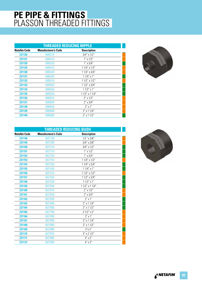#### **PE PIPE & FITTINGS** PLASSON THREADED FITTINGS

| <b>THREADED REDUCING NIPPLE</b> |                            |                    |  |
|---------------------------------|----------------------------|--------------------|--|
| <b>Netafim Code</b>             | <b>Manufacturer's Code</b> | <b>Description</b> |  |
| <b>Z21126</b>                   | 5065210                    | $3/4$ " x $1/2$ "  |  |
| <b>Z21127</b>                   | 5065310                    | $1'' \times 1/2''$ |  |
| <b>Z21128</b>                   | 5065320                    | $1'' \times 3/4''$ |  |
| Z21129                          | 5065410                    | $11/4$ " x $1/2$ " |  |
| Z21130                          | 5065420                    | $11/4$ " x $3/4$ " |  |
| <b>Z21131</b>                   | 5065430                    | $11/4$ " x 1"      |  |
| Z21132                          | 5065510                    | $11/2$ " x $1/2$ " |  |
| Z21133                          | 5065520                    | $11/2$ " x $3/4$ " |  |
| <b>Z21134</b>                   | 5065530                    | $11/2$ " x 1"      |  |
| <b>Z21135</b>                   | 5065540                    | 1 1/2" x 1 1/4"    |  |
| Z21136                          | 5065610                    | $2'' \times 1/2''$ |  |
| <b>Z21137</b>                   | 5065620                    | $2''$ x $3/4''$    |  |
| Z21138                          | 5065630                    | $2''$ x 1"         |  |
| Z21139                          | 5065640                    | $2''$ x 1 1/4"     |  |
| <b>Z21140</b>                   | 5065650                    | $2''$ x 1 1/2"     |  |



| <b>THREADED REDUCING BUSH</b> |                            |                    |  |
|-------------------------------|----------------------------|--------------------|--|
| <b>Netafim Code</b>           | <b>Manufacturer's Code</b> | <b>Description</b> |  |
| <b>Z21148</b>                 | 5027100                    | $1/2$ "x $3/8$ "   |  |
| Z21149                        | 5027200                    | $3/4$ " x $3/8$ "  |  |
| Z21150                        | 5027210                    | $3/4$ " x $1/2$ "  |  |
| Z21151                        | 5027310                    | $1'' \times 1/2''$ |  |
| <b>Z21152</b>                 | 5027320                    | $1'' \times 3/4''$ |  |
| Z21153                        | 5027410                    | $11/4$ " x $1/2$ " |  |
| Z21154                        | 5027420                    | $11/4$ " x $3/4$ " |  |
| Z21155                        | 5027430                    | $11/4$ " x 1"      |  |
| Z21156                        | 5027510                    | $11/2$ " x $1/2$ " |  |
| <b>Z21157</b>                 | 5027520                    | $11/2$ " x $3/4$ " |  |
| Z21158                        | 5027530                    | $11/2$ " x 1"      |  |
| Z21159                        | 5027540                    | 1 1/2" x 1 1/4"    |  |
| <b>Z21160</b>                 | 5027610                    | $2'' \times 1/2''$ |  |
| Z21161                        | 5027620                    | $2'' \times 3/4''$ |  |
| <b>Z21162</b>                 | 5027630                    | $2''$ x 1"         |  |
| Z21163                        | 5027640                    | $2''$ x 1 1/4"     |  |
| Z21164                        | 5027650                    | $2''$ x 1 1/2"     |  |
| <b>Z21165</b>                 | 5027760                    | $21/2"$ x 2"       |  |
| <b>Z21166</b>                 | 5027830                    | $3''$ x $1''$      |  |
| Z21167                        | 5027840                    | $3''$ x 1 1/4"     |  |
| <b>Z21168</b>                 | 5027850                    | $3''$ x 1 1/2"     |  |
| Z21169                        | 5027860                    | $3''$ x 2"         |  |
| Z21170                        | 5027870                    | $3''$ x 2 1/2"     |  |
| <b>Z21171</b>                 | 5027960                    | $4'' \times 2''$   |  |
| <b>Z21172</b>                 | 5027980                    | $4'' \times 3''$   |  |

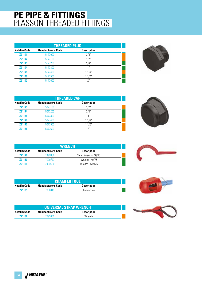#### **PE PIPE & FITTINGS** PLASSON THREADED FITTINGS

| <b>THREADED PLUG</b> |                            |                    |  |
|----------------------|----------------------------|--------------------|--|
| <b>Netafim Code</b>  | <b>Manufacturer's Code</b> | <b>Description</b> |  |
| <b>Z21141</b>        | 5177000                    | 3/8"               |  |
| <b>Z21142</b>        | 5177100                    | 1/2"               |  |
| <b>Z21143</b>        | 5177200                    | 3/4"               |  |
| <b>Z21144</b>        | 5177300                    | 1 <sup>''</sup>    |  |
| <b>Z21145</b>        | 5177400                    | 11/4"              |  |
| <b>Z21146</b>        | 5177500                    | 11/2"              |  |
| <b>Z21147</b>        | 5177600                    | 2"                 |  |



| <b>THREADED CAP</b> |                            |                    |  |
|---------------------|----------------------------|--------------------|--|
| <b>Netafim Code</b> | <b>Manufacturer's Code</b> | <b>Description</b> |  |
| <b>Z21173</b>       | 5077100                    | 1/2"               |  |
| <b>Z21174</b>       | 5077200                    | 3/4"               |  |
| <b>Z21175</b>       | 5077300                    | 1"                 |  |
| <b>Z21176</b>       | 5077400                    | 11/4"              |  |
| <b>Z21177</b>       | 5077500                    | 11/2"              |  |
| <b>Z21178</b>       | 5077600                    | 2"                 |  |









| <b>Z21176</b>       | 5077400                    | $1/4$ "            |  |
|---------------------|----------------------------|--------------------|--|
| <b>Z21177</b>       | 5077500                    | 11/2"              |  |
| Z21178              | 5077600                    | 2"                 |  |
|                     |                            |                    |  |
|                     |                            |                    |  |
|                     |                            |                    |  |
|                     | <b>WRENCH</b>              |                    |  |
| <b>Netafim Code</b> | <b>Manufacturer's Code</b> | <b>Description</b> |  |

|                     | <b>CHAMFER TOOL</b>        |                    |  |
|---------------------|----------------------------|--------------------|--|
| <b>Netafim Code</b> | <b>Manufacturer's Code</b> | <b>Description</b> |  |

**Z21183** 7960010 Chamfer Tool

**Z21179** 7990BJ0 Small Wrench - 16/40 **Z21180** 7990FJ0 Wrench - 40/75 **Z21181** 7990GL0 Wrench - 63/125

| <b>UNIVERSAL STRAP WRENCH</b> |                            |                    |  |
|-------------------------------|----------------------------|--------------------|--|
| Netafim Code                  | <b>Manufacturer's Code</b> | <b>Description</b> |  |
| 721182                        | 7992001                    | Wrench             |  |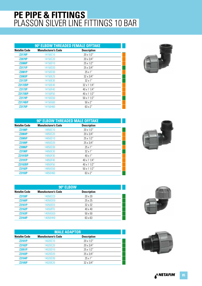#### **PE PIPE & FITTINGS** PLASSON SILVER LINE FITTINGS 10 BAR

|                     | 90° ELBOW THREADED FEMALE OFFTAKE |                    |  |
|---------------------|-----------------------------------|--------------------|--|
| <b>Netafim Code</b> | <b>Manufacturer's Code</b>        | <b>Description</b> |  |
| <b>Z2170P</b>       | 14150C10                          | 20 x 1/2"          |  |
| <b>Z2079P</b>       | 14150C20                          | 20 x 3/4"          |  |
| <b>Z2080P</b>       | 14150D10                          | 25 x 1/2"          |  |
| <b>Z2171P</b>       | 14150D20                          | $25 \times 3/4"$   |  |
| <b>Z2081P</b>       | 14150D30                          | $25 \times 1"$     |  |
| <b>Z2083P</b>       | 14150E20                          | $32 \times 3/4$ "  |  |
| <b>Z2172P</b>       | 14150E30                          | $32 \times 1$ "    |  |
| <b>Z2172BP</b>      | 14150E40                          | $32 \times 11/4"$  |  |
| <b>Z2173P</b>       | 14150F40                          | 40 x 1 1/4"        |  |
| <b>Z2173BP</b>      | 14150F50                          | 40 x 1 1/2"        |  |
| <b>Z2174P</b>       | 14150G50                          | $50 \times 11/2$ " |  |
| <b>Z2174BP</b>      | 14150G60                          | $50 \times 2"$     |  |
| <b>Z2175P</b>       | 14150H60                          | 63 x 2"            |  |



| 90° ELBOW THREADED MALE OFFTAKE |                            |                    |  |
|---------------------------------|----------------------------|--------------------|--|
| <b>Netafim Code</b>             | <b>Manufacturer's Code</b> | <b>Description</b> |  |
| <b>Z2188P</b>                   | 14850C10                   | $20 \times 1/2"$   |  |
| <b>Z2084P</b>                   | 14850C20                   | 20 x 3/4"          |  |
| <b>Z2085P</b>                   | 14850D10                   | $25 \times 1/2$ "  |  |
| <b>Z2189P</b>                   | 14850D20                   | 25 x 3/4"          |  |
| <b>Z2086P</b>                   | 14850D30                   | $25 \times 1"$     |  |
| <b>Z2190P</b>                   | 14850E30                   | $32 \times 1"$     |  |
| <b>Z2191BP</b>                  | 14850F30                   | 40 x 1"            |  |
| <b>Z2191P</b>                   | 14850F40                   | 40 x 1 1/4"        |  |
| <b>Z2192BP</b>                  | 14850F50                   | 40 x 1 1/2"        |  |
| <b>Z2192P</b>                   | 14850G50                   | $50 \times 11/2$ " |  |
| <b>Z2193P</b>                   | 14850H60                   | $63 \times 2"$     |  |



| $90^{\rm o}$ ELBOW  |                            |                    |  |
|---------------------|----------------------------|--------------------|--|
| <b>Netafim Code</b> | <b>Manufacturer's Code</b> | <b>Description</b> |  |
| <b>Z2159P</b>       | 14050CC0                   | $20 \times 20$     |  |
| <b>Z2160P</b>       | 14050DD0                   | $25 \times 25$     |  |
| <b>Z2161P</b>       | 14050EE0                   | 32 x 32            |  |
| <b>Z2162P</b>       | 14050FF0                   | $40 \times 40$     |  |
| <b>Z2163P</b>       | 14050GG0                   | $50 \times 50$     |  |
| <b>Z2164P</b>       | 14050HH0                   | 63 x 63            |  |

| <b>MALE ADAPTOR</b> |                            |                    |  |
|---------------------|----------------------------|--------------------|--|
| <b>Netafim Code</b> | <b>Manufacturer's Code</b> | <b>Description</b> |  |
| <b>Z2101P</b>       | 14020C10                   | $20 \times 1/2"$   |  |
| <b>Z2102P</b>       | 14020C20                   | $20 \times 3/4$ "  |  |
| <b>Z2051P</b>       | 14020D10                   | $25 \times 1/2"$   |  |
| <b>Z2103P</b>       | 14020D20                   | $25 \times 3/4"$   |  |
| <b>Z2104P</b>       | 14020D30                   | 25x1''             |  |
| <b>Z2105P</b>       | 14020F20                   | $32 \times 3/4"$   |  |



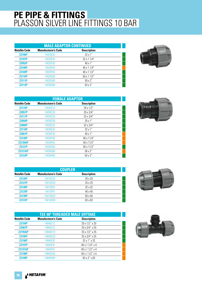#### **PE PIPE & FITTINGS** PLASSON SILVER LINE FITTINGS 10 BAR

| <b>MALE ADAPTOR CONTINUED</b> |                            |                    |  |
|-------------------------------|----------------------------|--------------------|--|
| <b>Netafim Code</b>           | <b>Manufacturer's Code</b> | <b>Description</b> |  |
| <b>Z2106P</b>                 | 14020E30                   | $32 \times 1$ "    |  |
| <b>Z2107P</b>                 | 14020E40                   | 32 x 1 1/4"        |  |
| <b>Z2052P</b>                 | 14020F30                   | $40 \times 1"$     |  |
| <b>Z2108P</b>                 | 14020F40                   | 40 x 1 1/4"        |  |
| <b>Z2109P</b>                 | 14020F50                   | 40 x 1 1/2"        |  |
| <b>Z2110P</b>                 | 14020G50                   | $50 \times 11/2"$  |  |
| <b>Z2111P</b>                 | 14020G60                   | $50 \times 2$ "    |  |
| <b>Z2113P</b>                 | 14020H60                   | $63 \times 2"$     |  |



| <b>FEMALE ADAPTOR</b> |                            |                    |  |
|-----------------------|----------------------------|--------------------|--|
| <b>Netafim Code</b>   | <b>Manufacturer's Code</b> | <b>Description</b> |  |
| <b>Z2116P</b>         | 14030C10                   | $20 \times 1/2"$   |  |
| <b>Z2057P</b>         | 14030C20                   | $20 \times 3/4"$   |  |
| <b>Z2117P</b>         | 14030D20                   | 25 x 3/4"          |  |
| <b>Z2059P</b>         | 14030D30                   | $25 \times 1"$     |  |
| <b>Z2060P</b>         | 14030E20                   | $32 \times 3/4$ "  |  |
| <b>Z2118P</b>         | 14030E30                   | $32 \times 1$ "    |  |
| <b>Z2061P</b>         | 14030F30                   | $40 \times 1"$     |  |
| <b>Z2120P</b>         | 14030F40                   | 40 x 11/4"         |  |
| <b>Z2120AP</b>        | 14030F50                   | 40 x 11/2"         |  |
| <b>Z2121P</b>         | 14030G50                   | $50 \times 11/2"$  |  |
| <b>Z2121AP</b>        | 14030G60                   | $50 \times 2"$     |  |
| <b>Z2123P</b>         | 14030H60                   | $63 \times 2"$     |  |

| <b>COUPLER</b>      |                            |                    |  |  |
|---------------------|----------------------------|--------------------|--|--|
| <b>Netafim Code</b> | <b>Manufacturer's Code</b> | <b>Description</b> |  |  |
| <b>Z2126P</b>       | 14010CC0                   | $20 \times 20$     |  |  |
| <b>Z2127P</b>       | 14010DD0                   | $25 \times 25$     |  |  |
| <b>Z2128P</b>       | 14010EE0                   | 32 x 32            |  |  |
| <b>Z2129P</b>       | 14010FF0                   | $40 \times 40$     |  |  |
| <b>Z2130P</b>       | 14010GG0                   | $50 \times 50$     |  |  |
| <b>Z2131P</b>       | 14010HH0                   | 63 x 63            |  |  |

| <b>TEE 90° THREADED MALE OFFTAKE</b> |                            |                               |  |
|--------------------------------------|----------------------------|-------------------------------|--|
| <b>Netafim Code</b>                  | <b>Manufacturer's Code</b> | <b>Description</b>            |  |
| <b>Z2194P</b>                        | 14840C1C                   | 20 x 1/2" x 20                |  |
| <b>Z2087P</b>                        | 14840C2C                   | 20 x 3/4" x 20                |  |
| <b>Z2195AP</b>                       | 14840D1D                   | 25 x 1/2" x 25                |  |
| <b>Z2195P</b>                        | 14840D2D                   | 25 x 3/4" x 25                |  |
| <b>Z2196P</b>                        | 14840E3E                   | $32 \times 1'' \times 32$     |  |
| <b>Z2197P</b>                        | 14840F4F                   | $40 \times 11/4$ " x 4        |  |
| <b>Z2197AP</b>                       | 14840F5F                   | 40 x 1 1/2" x 4               |  |
| <b>Z2198P</b>                        | 14840G5G                   | $50 \times 11/2$ " $\times 5$ |  |
| <b>Z2199P</b>                        | 14840H6H                   | $63 \times 2'' \times 63$     |  |





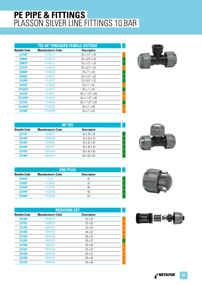#### **PE PIPE & FITTINGS** PLASSON SILVER LINE FITTINGS 10 BAR

| <b>TEE 90° THREADED FEMALE OFFTAKE</b> |                            |                                |  |
|----------------------------------------|----------------------------|--------------------------------|--|
| <b>Netafim Code</b>                    | <b>Manufacturer's Code</b> | <b>Description</b>             |  |
| <b>Z2150P</b>                          | 14140C1C                   | 20 x 1/2" x 20                 |  |
| <b>Z2066P</b>                          | 14140C2C                   | 20 x 3/4" x 20                 |  |
| <b>Z2067P</b>                          | 14140D1D                   | 25 x 1/2" x 25                 |  |
| <b>Z2151P</b>                          | 14140D2D                   | 25 x 3/4" x 25                 |  |
| <b>Z2068P</b>                          | 14140D3D                   | 25 x 1" x 25                   |  |
| <b>Z2069P</b>                          | 14140E1E                   | 32 x 1/2" x 32                 |  |
| <b>Z2070P</b>                          | 14140E2E                   | 32 x 3/4" x 32                 |  |
| <b>Z2152P</b>                          | 14140E3E                   | $32 \times 1'' \times 32$      |  |
| <b>Z2152EP</b>                         | 14140F3F                   | $40 \times 1'' \times 40$      |  |
| <b>Z2153P</b>                          | 14140F4F                   | $40 \times 11/4$ " $\times 40$ |  |
| <b>Z2153EP</b>                         | 14140F5F                   | 40 x 1 1/2" x 40               |  |
| <b>Z2154P</b>                          | 14140G5G                   | $50 \times 11/2$ " $\times 50$ |  |
| <b>Z2154EP</b>                         | 14140G6G                   | $50 \times 2'' \times 50$      |  |
| <b>Z2156P</b>                          | 14140H6H                   | 63 x 2" x 63                   |  |



| 90°TEE              |                            |                          |  |  |
|---------------------|----------------------------|--------------------------|--|--|
| <b>Netafim Code</b> | <b>Manufacturer's Code</b> | <b>Description</b>       |  |  |
| <b>Z2141P</b>       | <b>14040CCC</b>            | 20 x 20 x 20             |  |  |
| <b>Z2142P</b>       | 14040DDD                   | $25 \times 25 \times 25$ |  |  |
| <b>Z2143P</b>       | 14040EEE                   | 32 x 32 x 32             |  |  |
| <b>Z2144P</b>       | 14040FFF                   | 40 x 40 x 40             |  |  |
| <b>Z2145P</b>       | 14040GGG                   | $50 \times 50 \times 50$ |  |  |
| <b>Z2146P</b>       | 14040HHH                   | 63 x 63 x 63             |  |  |

| <b>END PLUG</b>     |                            |                    |  |
|---------------------|----------------------------|--------------------|--|
| <b>Netafim Code</b> | <b>Manufacturer's Code</b> | <b>Description</b> |  |
| <b>Z2181P</b>       | 14120                      | 25                 |  |
| <b>Z2182P</b>       | 14120E00                   | 32                 |  |
| <b>Z2183P</b>       | 14120F00                   | 40                 |  |
| <b>Z2184P</b>       | 14120G00                   | 50                 |  |
| <b>Z2185P</b>       | 120H00                     | 63                 |  |

| <b>REDUCING SET</b> |                            |                    |  |  |
|---------------------|----------------------------|--------------------|--|--|
| <b>Netafim Code</b> | <b>Manufacturer's Code</b> | <b>Description</b> |  |  |
| <b>Z21200</b>       | 14930DC0                   | 25 x 20            |  |  |
| <b>Z21201</b>       | 14930EC0                   | $32 \times 20$     |  |  |
| <b>Z21202</b>       | 14930ED0                   | $32 \times 25$     |  |  |
| <b>Z21203</b>       | 14930FE0                   | 40 x 32            |  |  |
| <b>Z21204</b>       | 14930GD0                   | $50 \times 25$     |  |  |
| <b>Z21205</b>       | 14930GE0                   | $50 \times 32$     |  |  |
| <b>Z21206</b>       | 14930GF0                   | $50 \times 40$     |  |  |
| <b>Z21207</b>       | 14930HD0                   | 63 x 25            |  |  |
| <b>Z21208</b>       | 14930HE0                   | 63 x 32            |  |  |
| <b>Z21209</b>       | 14930HF0                   | 63 x 40            |  |  |
| <b>Z21210</b>       | 14930HG0                   | 63 x 50            |  |  |





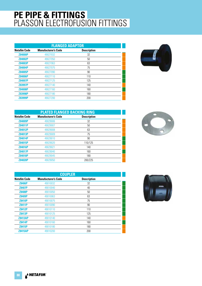| <b>FLANGED ADAPTOR</b> |                            |                    |  |  |
|------------------------|----------------------------|--------------------|--|--|
| <b>Netafim Code</b>    | <b>Manufacturer's Code</b> | <b>Description</b> |  |  |
| <b>Z84000P</b>         | 49027032                   | 32                 |  |  |
| <b>Z84002P</b>         | 49027050                   | 50                 |  |  |
| Z84003P                | 49027063                   | 63                 |  |  |
| <b>Z84004P</b>         | 49027075                   | 75                 |  |  |
| Z84005P                | 49027090                   | 90                 |  |  |
| <b>Z84006P</b>         | 49027110                   | 110                |  |  |
| <b>Z84007P</b>         | 49027125                   | 125                |  |  |
| Z83997P                | 49027140                   | 140                |  |  |
| <b>Z84008P</b>         | 49027160                   | 160                |  |  |
| Z83998P                | 49027180                   | 180                |  |  |
| Z83999P                | 49027200                   | 200                |  |  |



| <b>PLATED FLANGED BACKING RING</b> |                            |                    |  |
|------------------------------------|----------------------------|--------------------|--|
| <b>Netafim Code</b>                | <b>Manufacturer's Code</b> | <b>Description</b> |  |
| Z84009P                            | 49029006                   | 32                 |  |
| Z84011P                            | 49029007                   | 50                 |  |
| <b>Z84012P</b>                     | 49029008                   | 63                 |  |
| Z84013P                            | 49029009                   | 75                 |  |
| <b>Z84014P</b>                     | 49029010                   | 90                 |  |
| Z84015P                            | 49029020                   | 110/125            |  |
| <b>Z84016P</b>                     | 49029021                   | 140                |  |
| <b>Z84017P</b>                     | 49029040                   | 160                |  |
| <b>Z84018P</b>                     | 49029045                   | 180                |  |
| <b>Z84020P</b>                     | 49029050                   | 200/225            |  |

| <b>COUPLER</b>      |                            |                    |  |  |
|---------------------|----------------------------|--------------------|--|--|
| <b>Netafim Code</b> | <b>Manufacturer's Code</b> | <b>Description</b> |  |  |
| <b>Z8406P</b>       | 49010032                   | 32                 |  |  |
| <b>Z8407P</b>       | 49010040                   | 40                 |  |  |
| <b>Z8408P</b>       | 49010050                   | 50                 |  |  |
| <b>Z8409P</b>       | 49010063                   | 63                 |  |  |
| <b>Z8410P</b>       | 49010075                   | 75                 |  |  |
| <b>Z8411P</b>       | 49010090                   | 90                 |  |  |
| <b>Z8412P</b>       | 49010110                   | 110                |  |  |
| <b>Z8413P</b>       | 49010125                   | 125                |  |  |
| <b>Z8413AP</b>      | 49010140                   | 140                |  |  |
| <b>Z8414P</b>       | 49010160                   | 160                |  |  |
| Z8415P              | 49010180                   | 180                |  |  |
| <b>Z8415AP</b>      | 49010200                   | 200                |  |  |



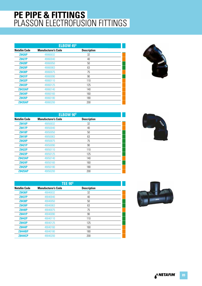| <b>ELBOW 45<sup>0</sup></b> |                            |                    |  |  |
|-----------------------------|----------------------------|--------------------|--|--|
| <b>Netafim Code</b>         | <b>Manufacturer's Code</b> | <b>Description</b> |  |  |
| <b>Z8426P</b>               | 49060032                   | 32                 |  |  |
| <b>Z8427P</b>               | 49060040                   | 40                 |  |  |
| <b>Z8428P</b>               | 49060050                   | 50                 |  |  |
| <b>Z8429P</b>               | 49060063                   | 63                 |  |  |
| <b>Z8430P</b>               | 49060075                   | 75                 |  |  |
| Z8431P                      | 49060090                   | 90                 |  |  |
| <b>Z8432P</b>               | 49060110                   | 110                |  |  |
| Z8433P                      | 49060125                   | 125                |  |  |
| <b>Z8433AP</b>              | 49060140                   | 140                |  |  |
| <b>Z8434P</b>               | 49060160                   | 160                |  |  |
| Z8435P                      | 49060180                   | 180                |  |  |
| <b>Z8435AP</b>              | 49060200                   | 200                |  |  |



| <b>ELBOW 90°</b>    |                            |                    |  |  |
|---------------------|----------------------------|--------------------|--|--|
| <b>Netafim Code</b> | <b>Manufacturer's Code</b> | <b>Description</b> |  |  |
| <b>Z8416P</b>       | 49050032                   | 32                 |  |  |
| <b>Z8417P</b>       | 49050040                   | 40                 |  |  |
| <b>Z8418P</b>       | 49050050                   | 50                 |  |  |
| <b>Z8419P</b>       | 49050063                   | 63                 |  |  |
| <b>Z8420P</b>       | 49050075                   | 75                 |  |  |
| <b>Z8421P</b>       | 49050090                   | 90                 |  |  |
| <b>Z8422P</b>       | 49050110                   | 110                |  |  |
| <b>Z8423P</b>       | 49050125                   | 125                |  |  |
| <b>Z8423AP</b>      | 49050140                   | 140                |  |  |
| <b>Z8424P</b>       | 49050160                   | 160                |  |  |
| <b>Z8425P</b>       | 49050180                   | 180                |  |  |
| <b>Z8425AP</b>      | 49050200                   | 200                |  |  |

| <b>TEE 90°</b>      |                            |                    |  |  |
|---------------------|----------------------------|--------------------|--|--|
| <b>Netafim Code</b> | <b>Manufacturer's Code</b> | <b>Description</b> |  |  |
| <b>Z8436P</b>       | 49040032                   | 32                 |  |  |
| <b>Z8437P</b>       | 49040040                   | 40                 |  |  |
| <b>Z8438P</b>       | 49040050                   | 50                 |  |  |
| Z8439P              | 49040063                   | 63                 |  |  |
| <b>Z8440P</b>       | 49040075                   | 75                 |  |  |
| <b>Z8441P</b>       | 49040090                   | 90                 |  |  |
| <b>Z8442P</b>       | 49040110                   | 110                |  |  |
| <b>Z8443P</b>       | 49040125                   | 125                |  |  |
| <b>Z8444P</b>       | 49040160                   | 160                |  |  |
| <b>Z8444BP</b>      | 49040180                   | 180                |  |  |
| <b>Z8444CP</b>      | 49040200                   | 200                |  |  |





A<sup>&</sup> NETAFIM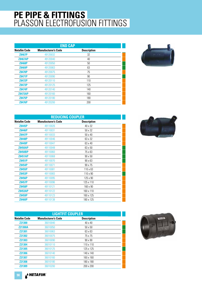| <b>END CAP</b>      |                            |                    |  |
|---------------------|----------------------------|--------------------|--|
| <b>Netafim Code</b> | <b>Manufacturer's Code</b> | <b>Description</b> |  |
| Z8467P              | 49120032                   | 32                 |  |
| <b>Z8467AP</b>      | 49120040                   | 40                 |  |
| <b>Z8468P</b>       | 49120050                   | 50                 |  |
| <b>Z8469P</b>       | 49120063                   | 63                 |  |
| <b>Z8470P</b>       | 49120075                   | 75                 |  |
| <b>Z8471P</b>       | 49120090                   | 90                 |  |
| <b>Z8472P</b>       | 49120110                   | 110                |  |
| Z8473P              | 49120125                   | 125                |  |
| <b>Z8474P</b>       | 49120140                   | 140                |  |
| <b>Z8473AP</b>      | 49120160                   | 160                |  |
| <b>Z8475P</b>       | 49120180                   | 180                |  |
| <b>Z8476P</b>       | 49120200                   | 200                |  |



| <b>REDUCING COUPLER</b> |                            |                    |  |
|-------------------------|----------------------------|--------------------|--|
| <b>Netafim Code</b>     | <b>Manufacturer's Code</b> | <b>Description</b> |  |
| Z8445P                  | 49110026                   | 40 x 32            |  |
| <b>Z8446P</b>           | 49110031                   | 50 x 32            |  |
| <b>Z8447P</b>           | 49110033                   | 50 x 40            |  |
| <b>Z8448P</b>           | 49110046                   | 63 x 32            |  |
| <b>Z8449P</b>           | 49110047                   | 63 x 40            |  |
| <b>Z8450AP</b>          | 49110048                   | 63 x 50            |  |
| <b>Z8450BP</b>          | 49110060                   | 75 x 63            |  |
| <b>Z8451AP</b>          | 49110068                   | $90 \times 50$     |  |
| Z8451P                  | 49110070                   | $90 \times 63$     |  |
| Z8454P                  | 49110071                   | 90 x 75            |  |
| Z8455P                  | 49110081                   | 110 x 63           |  |
| Z8453P                  | 49110083                   | 110 x 90           |  |
| Z8456P                  | 49110095                   | 125 x 90           |  |
| Z8457P                  | 49110096                   | 125 x 110          |  |
| Z8458P                  | 49110121                   | 160 x 90           |  |
| <b>Z8453AP</b>          | 49110122                   | 160 x 110          |  |
| Z8459P                  | 49110123                   | 160 x 125          |  |
| <b>Z8460P</b>           | 49110138                   | 180 x 125          |  |

| <b>LIGHTFIT COUPLER</b> |                            |                    |  |
|-------------------------|----------------------------|--------------------|--|
| <b>Netafim Code</b>     | <b>Manufacturer's Code</b> | <b>Description</b> |  |
| <b>Z21300</b>           | 36010040                   | $40 \times 40$     |  |
| <b>Z21300A</b>          | 36010050                   | $50 \times 50$     |  |
| <b>Z21301</b>           | 36010063                   | 63 x 63            |  |
| <b>Z21302</b>           | 36010075                   | 75 x 75            |  |
| <b>Z21303</b>           | 36010090                   | $90 \times 90$     |  |
| <b>Z21304</b>           | 36010110                   | $110 \times 110$   |  |
| <b>Z21305</b>           | 36010125                   | 125 x 125          |  |
| <b>Z21306</b>           | 36010140                   | 140 x 140          |  |
| <b>Z21307</b>           | 36010160                   | 160 x 160          |  |
| <b>Z21308</b>           | 36010180                   | 180 x 180          |  |
| Z21309                  | 36010200                   | $200 \times 200$   |  |



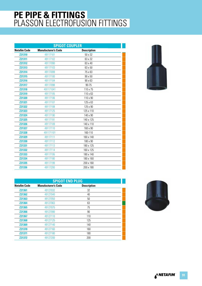| <b>SPIGOT COUPLER</b> |                            |                    |  |
|-----------------------|----------------------------|--------------------|--|
| <b>Netafim Code</b>   | <b>Manufacturer's Code</b> | <b>Description</b> |  |
| <b>Z21310</b>         | 49117101                   | 50 x 32            |  |
| Z21311                | 49117102                   | 63 x 32            |  |
| <b>Z21312</b>         | 49117090                   | 63 x 40            |  |
| Z21313                | 49117103                   | 63 x 50            |  |
| Z21314                | 49117099                   | 75 x 63            |  |
| Z21315                | 49117100                   | 90 x 50            |  |
| Z21316                | 49117104                   | 90 x 63            |  |
| <b>Z21317</b>         | 49117098                   | $90 - 75$          |  |
| <b>Z21318</b>         | 491171041                  | 110 x 75           |  |
| Z21319                | 49117105                   | 110 x 63           |  |
| <b>Z21320</b>         | 49117106                   | 110 x 90           |  |
| Z21321                | 49117107                   | 125 x 63           |  |
| <b>Z21322</b>         | 49117108                   | 125 x 90           |  |
| <b>Z21323</b>         | 49117125                   | 125 x 110          |  |
| Z21324                | 49117190                   | 140 x 90           |  |
| <b>Z21325</b>         | 49117191                   | 140 x 125          |  |
| Z21326                | 49117109                   | 140 x 110          |  |
| <b>Z21327</b>         | 49117110                   | 160 x 90           |  |
| Z21328                | 491171101                  | 160-110            |  |
| <b>Z21329</b>         | 49117111                   | 160 x 140          |  |
| <b>Z21330</b>         | 49117112                   | 180 x 90           |  |
| Z21331                | 49117113                   | 180 x 125          |  |
| <b>Z21332</b>         | 49117114                   | 160 x 125          |  |
| Z21333                | 49117195                   | 180 x 140          |  |
| <b>Z21334</b>         | 49117180                   | 180 x 160          |  |
| Z21335                | 49117199                   | 200 x 160          |  |
| Z21336                | 49117200                   | 200 x 180          |  |
|                       |                            |                    |  |



| <b>SPIGOT END PLUG</b> |                            |                    |  |
|------------------------|----------------------------|--------------------|--|
| Netafim Code           | <b>Manufacturer's Code</b> | <b>Description</b> |  |
| Z21361                 | 49127032                   | 32                 |  |
| <b>Z21362</b>          | 49127040                   | 40                 |  |
| Z21363                 | 49127050                   | 50                 |  |
| <b>Z21364</b>          | 49127063                   | 63                 |  |
| <b>Z21365</b>          | 49127075                   | 75                 |  |
| <b>Z21366</b>          | 49127090                   | 90                 |  |
| <b>Z21367</b>          | 49127110                   | 110                |  |
| <b>Z21368</b>          | 49127125                   | 125                |  |
| <b>Z21369</b>          | 49127140                   | 140                |  |
| <b>Z21370</b>          | 49127160                   | 160                |  |
| <b>Z21371</b>          | 49127180                   | 180                |  |
| <b>Z21372</b>          | 49127200                   | 200                |  |



A<sup>&</sup> NETAFIM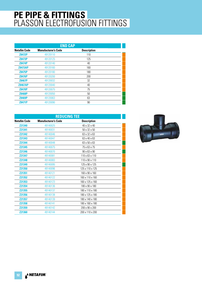| <b>END CAP</b>      |                            |                    |  |
|---------------------|----------------------------|--------------------|--|
| <b>Netafim Code</b> | <b>Manufacturer's Code</b> | <b>Description</b> |  |
| <b>Z8472P</b>       | 49120110                   | 110                |  |
| <b>Z8473P</b>       | 49120125                   | 125                |  |
| <b>Z8474P</b>       | 49120140                   | 40                 |  |
| <b>Z8473AP</b>      | 49120160                   | 160                |  |
| <b>Z8475P</b>       | 49120180                   | 180                |  |
| <b>Z8476P</b>       | 49120200                   | 200                |  |
| Z8467P              | 49120032                   | 32                 |  |
| <b>Z8467AP</b>      | 49120040                   | 40                 |  |
| <b>Z8470P</b>       | 49120075                   | 75                 |  |
| <b>Z8468P</b>       | 49120050                   | 50                 |  |
| Z8469P              | 49120063                   | 63                 |  |
| <b>Z8471P</b>       | 49120090                   | 90                 |  |

| <b>REDUCING TEE</b> |                            |                          |  |
|---------------------|----------------------------|--------------------------|--|
| <b>Netafim Code</b> | <b>Manufacturer's Code</b> | <b>Description</b>       |  |
| <b>Z21340</b>       | 49140025                   | 40 x 32 x 40             |  |
| <b>Z21341</b>       | 49140031                   | 50 x 32 x 50             |  |
| <b>Z21342</b>       | 49140046                   | 63 x 32 x 63             |  |
| <b>Z21343</b>       | 49140047                   | 63 x 40 x 63             |  |
| <b>Z21344</b>       | 49140048                   | 63 x 50 x 63             |  |
| <b>Z21345</b>       | 49140075                   | 75 x 63 x 75             |  |
| <b>Z21346</b>       | 49140070                   | $90 \times 63 \times 90$ |  |
| <b>Z21347</b>       | 49140081                   | 110 x 63 x 110           |  |
| <b>Z21348</b>       | 49140083                   | 110 x 90 x 110           |  |
| <b>Z21349</b>       | 49140095                   | 125 x 90 x 125           |  |
| <b>Z21350</b>       | 49140096                   | 125 x 110 x 125          |  |
| <b>Z21351</b>       | 49140121                   | 160 x 90 x 160           |  |
| Z21352              | 49140122                   | 160 x 110 x 160          |  |
| Z21353              | 49140123                   | 160 x 125 x 160          |  |
| Z21354              | 49140136                   | 180 x 90 x 180           |  |
| <b>Z21355</b>       | 49140137                   | 180 x 110 x 180          |  |
| <b>Z21356</b>       | 49140138                   | 180 x 125 x 180          |  |
| <b>Z21357</b>       | 49140139                   | 180 x 140 x 180          |  |
| <b>Z21358</b>       | 49140141                   | 180 x 160 x 180          |  |
| <b>Z21359</b>       | 49140142                   | 200 x 90 x 200           |  |
| Z21360              | 49140144                   | 200 x 110 x 200          |  |

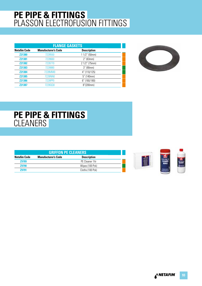| <b>FLANGE GASKETS</b> |                            |                    |  |
|-----------------------|----------------------------|--------------------|--|
| <b>Netafim Code</b>   | <b>Manufacturer's Code</b> | <b>Description</b> |  |
| <b>Z21380</b>         | 7228550                    | $11/2$ " (50mm)    |  |
| Z21381                | 7228660                    | $2''$ (63mm)       |  |
| <b>Z21382</b>         | 7228770                    | 2 1/2" (75mm)      |  |
| Z21383                | 7228880                    | 3" (90mm)          |  |
| <b>Z21384</b>         | 7228MM0                    | 4" (110/125)       |  |
| Z21385                | 7228NN0                    | 5" (140mm)         |  |
| <b>Z21386</b>         | 7228PP0                    | 6" (160/180)       |  |
| <b>Z21387</b>         | 7228000                    | 8"(200mm)          |  |



#### **PE PIPE & FITTINGS CLEANERS**

| <b>GRIFFON PE CLEANERS</b> |                    |  |  |
|----------------------------|--------------------|--|--|
| <b>Manufacturer's Code</b> | <b>Description</b> |  |  |
|                            | PE Cleaner 1ltr    |  |  |
|                            | Wipes (100 Pck)    |  |  |
|                            | Cloths (100 Pck)   |  |  |
|                            |                    |  |  |



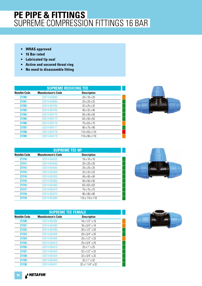- **WRAS approved**
- **16 Bar rated**
- **Lubricated lip seal**
- **Active and secured thrust ring**
- **No need to disassemble fitting**

| <b>SUPREME REDUCING TEE</b> |                            |                          |  |
|-----------------------------|----------------------------|--------------------------|--|
| <b>Netafim Code</b>         | <b>Manufacturer's Code</b> | <b>Description</b>       |  |
| <b>Z1700</b>                | 02014-654690               | $20 \times 16 \times 20$ |  |
| Z1701                       | 02014-654695               | 25 x 20 x 25             |  |
| <b>Z1702</b>                | 02014-654700               | 32 x 25 x 32             |  |
| Z1703                       | 02014-654705               | 40 x 32 x 40             |  |
| Z1704                       | 02014-654710               | $50 \times 40 \times 50$ |  |
| Z1705                       | 02014-654715               | 63 x 50 x 63             |  |
| <b>Z1706</b>                | 02014-654716               | 75 x 63 x 75             |  |
| <b>Z1707</b>                | 02014-654717               | $90 \times 75 \times 90$ |  |
| <b>Z1708</b>                | 02014-654718               | 110 x 63 x 110           |  |
| Z1709                       | 02014-654719               | 110 x 90 x 110           |  |



| <b>SUPREME TEE 90°</b> |                            |                          |  |
|------------------------|----------------------------|--------------------------|--|
| <b>Netafim Code</b>    | <b>Manufacturer's Code</b> | <b>Description</b>       |  |
| <b>Z1710</b>           | 02014-654335               | $16 \times 16 \times 16$ |  |
| Z1711                  | 02014-654340               | 20 x 20 x 20             |  |
| <b>Z1712</b>           | 02014-654345               | 25 x 25 x 25             |  |
| <b>Z1713</b>           | 02014-654350               | 32 x 32 x 32             |  |
| <b>Z1714</b>           | 02014-654355               | 40 x 40 x 40             |  |
| Z1715                  | 02014-654360               | $50 \times 50 \times 50$ |  |
| Z1716                  | 02014-654365               | 63 x 63 x 63             |  |
| <b>Z1717</b>           | 02014-654370               | 75 x 75 x 75             |  |
| Z1718                  | 02014-654375               | $90 \times 90 \times 90$ |  |
| Z1719                  | 02014-654380               | 110 x 110 x 110          |  |

| <b>SUPREME TEE FEMALE</b> |                            |                               |  |
|---------------------------|----------------------------|-------------------------------|--|
| <b>Netafim Code</b>       | <b>Manufacturer's Code</b> | <b>Description</b>            |  |
| <b>Z1720</b>              | 02014-654385               | $16 \times 1/2$ " x 16        |  |
| <b>Z1721</b>              | 02014-654390               | $16 \times 3/4" \times 16$    |  |
| <b>Z1722</b>              | 02014-654395               | 20 x 1/2" x 20                |  |
| <b>Z1723</b>              | 02014-654400               | 20 x 3/4" x 20                |  |
| <b>Z1724</b>              | 02014-654405               | $25 \times 1/2$ " x 25        |  |
| <b>Z1725</b>              | 02014-654410               | 25 x 3/4" x 25                |  |
| <b>Z1726</b>              | 02014-654415               | $25 \times 1'' \times 25$     |  |
| <b>Z1727</b>              | 02014-654420               | $32 \times 1/2$ " x 32        |  |
| <b>Z1728</b>              | 02014-654425               | $32 \times 3/4$ " $\times 32$ |  |
| <b>Z1729</b>              | 02014-654430               | $32 \times 1'' \times 32$     |  |
| <b>Z1730</b>              | 02014-654431               | $32 \times 11/4$ " x 32       |  |



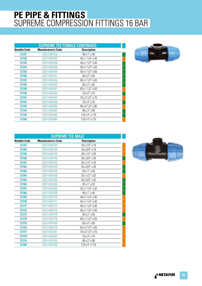|                     | <b>SUPREME TEE FEMALE CONTINUED</b> |                                |  |
|---------------------|-------------------------------------|--------------------------------|--|
| <b>Netafim Code</b> | <b>Manufacturer's Code</b>          | <b>Description</b>             |  |
| Z1731               | 02014-654432                        | 40 x 1" x 40                   |  |
| Z1732               | 02014-654435                        | 40 x 1 1/4" x 40               |  |
| Z1733               | 02014-654436                        | 40 x 1 1/2" x 40               |  |
| Z1734               | 02014-654439                        | $50 \times 11/4" \times 50$    |  |
| Z1735               | 02014-654440                        | $50 \times 11/2$ " $\times 50$ |  |
| Z1736               | 02014-654441                        | $50 \times 2$ " $\times 50$    |  |
| Z1737               | 02014-654445                        | $63 \times 11/2$ " $\times 63$ |  |
| Z1738               | 02014-654450                        | 63 x 2" x 63                   |  |
| Z1739               | 02014-654451                        | $63 \times 11/2$ " $\times 63$ |  |
| Z1740               | 02014-654454                        | 75 x 2" x 75                   |  |
| Z1741               | 02014-654455                        | 75 x 2 1/2" x 75               |  |
| <b>Z1742</b>        | 02014-654456                        | $75 \times 3'' \times 75$      |  |
| Z1743               | 02014-654459                        | $90 \times 21/2" \times 90$    |  |
| Z1744               | 02014-654460                        | $90 \times 3'' \times 90$      |  |
| Z1745               | 02014-654464                        | $110 \times 3'' \times 110$    |  |
| Z1746               | 02014-654465                        | $110 \times 4$ " $\times 110$  |  |



| <b>SUPREME TEE MALE</b> |                            |                             |  |
|-------------------------|----------------------------|-----------------------------|--|
| <b>Netafim Code</b>     | <b>Manufacturer's Code</b> | <b>Description</b>          |  |
| Z1757                   | 02014-654730               | 16 x 1/2" x 16              |  |
| Z1758                   | 02014-654735               | 16 x 3/4" x 16              |  |
| Z1759                   | 02014-654740               | 20 x 1/2" x 20              |  |
| Z1760                   | 02014-654745               | 20 x 3/4" x 20              |  |
| Z1761                   | 02014-654749               | 25 x 1/2" x 25              |  |
| Z1762                   | 02014-654750               | 25 x 3/4" x 25              |  |
| Z1763                   | 02014-654755               | 25 x 1" x 25                |  |
| Z1764                   | 02014-654759               | 32 x 1/2" x 32              |  |
| Z1765                   | 02014-654760               | 32 x 3/4" x 32              |  |
| Z1766                   | 02014-654765               | 32 x 1" x 32                |  |
| Z1767                   | 02014-654766               | 32 x 1 1/4" x 32            |  |
| Z1768                   | 02014-654769               | 40 x 1" x 40                |  |
| Z1769                   | 02014-654770               | 40 x 1 1/4" x 40            |  |
| <b>Z1770</b>            | 02014-654771               | 40 x 1 1/4" x 40            |  |
| Z1771                   | 02014-654774               | $50 \times 11/4" \times 50$ |  |
| <b>Z1772</b>            | 02014-654775               | 50 x 1 1/2" x 50            |  |
| Z1773                   | 02014-654776               | 50 x 2" x 50                |  |
| Z1774                   | 02014-654778               | 63 x 1 1/2" x 63            |  |
| Z1775                   | 02014-654780               | 63 x 2" x 63                |  |
| Z1776                   | 02014-654779               | 63 x 2 1/2" x 63            |  |
| <b>Z1777</b>            | 02014-654781               | 75 x 2 1/2" x 75            |  |
| Z1778                   | 02014-654782               | 75 x 3" x 75                |  |
| Z1779                   | 02014-654783               | $90 \times 3'' \times 90$   |  |
| Z1780                   | 02014-654784               | 110 x 4" x 110              |  |

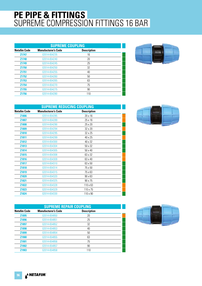| <b>SUPREME COUPLING</b> |                            |                    |  |
|-------------------------|----------------------------|--------------------|--|
| <b>Netafim Code</b>     | <b>Manufacturer's Code</b> | <b>Description</b> |  |
| <b>Z1747</b>            | 02014-654235               | 16                 |  |
| Z1748                   | 02014-654240               | 20                 |  |
| Z1749                   | 02014-654245               | 25                 |  |
| <b>Z1750</b>            | 02014-654250               | 32                 |  |
| Z1751                   | 02014-654255               | 40                 |  |
| <b>Z1752</b>            | 02014-654260               | 50                 |  |
| Z1753                   | 02014-654265               | 63                 |  |
| Z1754                   | 02014-654270               | 75                 |  |
| Z1755                   | 02014-654275               | 90                 |  |
| <b>Z1756</b>            | 02014-654280               | 110                |  |



| <b>SUPREME REDUCING COUPLING</b> |                            |                    |  |
|----------------------------------|----------------------------|--------------------|--|
| <b>Netafim Code</b>              | <b>Manufacturer's Code</b> | <b>Description</b> |  |
| <b>Z1806</b>                     | 02014-654285               | 20 x 16            |  |
| Z1807                            | 02014-654289               | 25 x 16            |  |
| Z1808                            | 02014-654290               | 25 x 20            |  |
| Z1809                            | 02014-654294               | 32 x 20            |  |
| <b>Z1810</b>                     | 02014-654295               | 32 x 25            |  |
| Z1811                            | 02014-654299               | 40 x 25            |  |
| Z1812                            | 02014-654300               | 40 x 32            |  |
| Z1813                            | 02014-654304               | 50 x 32            |  |
| Z1814                            | 02014-654305               | 50 x 40            |  |
| Z1815                            | 02014-654308               | 63 x 32            |  |
| Z1816                            | 02014-654309               | 63 x 40            |  |
| Z1817                            | 02014-654310               | 63 x 50            |  |
| Z1818                            | 02014-654314               | 75 x 50            |  |
| Z1819                            | 02014-654315               | 75 x 63            |  |
| <b>Z1820</b>                     | 02014-654320               | $90 \times 63$     |  |
| Z1821                            | 02014-654325               | 90 x 75            |  |
| Z1822                            | 02014-654328               | $110 \times 63$    |  |
| Z1823                            | 02014-654329               | 110 x 75           |  |
| Z1824                            | 02014-654330               | 110 x 90           |  |

| <b>SUPREME REPAIR COUPLING</b> |                            |                    |  |
|--------------------------------|----------------------------|--------------------|--|
| <b>Netafim Code</b>            | <b>Manufacturer's Code</b> | <b>Description</b> |  |
| Z1895                          | 02014-654850               | 20                 |  |
| <b>Z1896</b>                   | 02014-654851               | 25                 |  |
| Z1897                          | 02014-654852               | 32                 |  |
| Z1898                          | 02014-654853               | 40                 |  |
| <b>Z1899</b>                   | 02014-654854               | 50                 |  |
| <b>Z1900</b>                   | 02014-654855               | 63                 |  |
| Z1901                          | 02014-654856               | 75                 |  |
| <b>Z1902</b>                   | 02014-654857               | 90                 |  |
| <b>Z1903</b>                   | 02014-654858               | 110                |  |

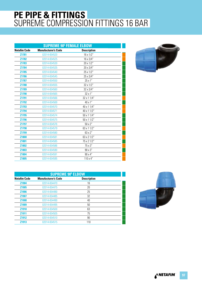|                     |                            | <b>SUPREME 90° FEMALE ELBOW</b> |  |
|---------------------|----------------------------|---------------------------------|--|
| <b>Netafim Code</b> | <b>Manufacturer's Code</b> | <b>Description</b>              |  |
| Z1781               | 02014-654520               | 16 x 1/2"                       |  |
| Z1782               | 02014-654525               | 16 x 3/4"                       |  |
| Z1783               | 02014-654530               | 20 x 1/2"                       |  |
| <b>Z1784</b>        | 02014-654535               | 20 x 3/4"                       |  |
| Z1785               | 02014-654540               | 25 x 1/2"                       |  |
| Z1786               | 02014-654545               | 25 x 3/4"                       |  |
| Z1787               | 02014-654550               | 25 x 1"                         |  |
| Z1788               | 02014-654555               | 32 x 1/2"                       |  |
| Z1789               | 02014-654560               | 32 x 3/4"                       |  |
| Z1790               | 02014-654565               | 32 x 1"                         |  |
| Z1791               | 02014-654566               | 32 x 1 1/4"                     |  |
| Z1792               | 02014-654569               | 40 x 1"                         |  |
| Z1793               | 02014-654570               | 40 x 1 1/4"                     |  |
| Z1794               | 02014-654571               | 40 x 1 1/2"                     |  |
| Z1795               | 02014-654574               | 50 x 1 1/4"                     |  |
| Z1796               | 02014-654575               | $50 \times 11/2"$               |  |
| Z1797               | 02014-654576               | 50 x 2"                         |  |
| <b>Z1798</b>        | 02014-654579               | 63 x 1 1/2"                     |  |
| Z1799               | 02014-654580               | 63 x 2"                         |  |
| Z1800               | 02014-654581               | 63 x 2 1/2"                     |  |
| Z1801               | 02014-654585               | 75 x 2 1/2"                     |  |
| <b>Z1802</b>        | 02014-654586               | 75 x 3"                         |  |
| Z1803               | 02014-654590               | 90 x 3"                         |  |
| Z1804               | 02014-654591               | 90 x 4"                         |  |
| Z1805               | 02014-654595               | $110 \times 4"$                 |  |



| <b>SUPREME 90° ELBOW</b> |                            |                    |  |
|--------------------------|----------------------------|--------------------|--|
| <b>Netafim Code</b>      | <b>Manufacturer's Code</b> | <b>Description</b> |  |
| Z1904                    | 02014-654470               | 16                 |  |
| Z1905                    | 02014-654475               | 20                 |  |
| <b>Z1906</b>             | 02014-654480               | 25                 |  |
| Z <sub>1907</sub>        | 02014-654485               | 32                 |  |
| <b>Z1908</b>             | 02014-654490               | 40                 |  |
| Z1909                    | 02014-654495               | 50                 |  |
| <b>Z1910</b>             | 02014-654500               | 63                 |  |
| Z1911                    | 02014-654505               | 75                 |  |
| <b>Z1912</b>             | 02014-654510               | 90                 |  |
| Z1913                    | 02014-654515               | 110                |  |

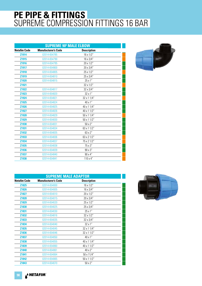|                     | <b>SUPREME 90° MALE ELBOW</b> |                    |  |
|---------------------|-------------------------------|--------------------|--|
| <b>Netafim Code</b> | <b>Manufacturer's Code</b>    | <b>Description</b> |  |
| Z1914               | 02014-654785                  | 16 x 1/2"          |  |
| Z1915               | 02014-654790                  | 16 x 3/4"          |  |
| Z1916               | 02014-654795                  | 20 x 1/2"          |  |
| Z1917               | 02014-654800                  | 20 x 3/4"          |  |
| Z1918               | 02014-654805                  | 25 x 1/2"          |  |
| Z1919               | 02014-654810                  | 25 x 3/4"          |  |
| <b>Z1920</b>        | 02014-654815                  | 25 x 1"            |  |
| Z1921               |                               | 32 x 1/2"          |  |
| Z1922               | 02014-654817                  | 32 x 3/4"          |  |
| Z1923               | 02014-654820                  | 32 x 1"            |  |
| Z1924               | 02014-654821                  | 32 x 1 1/4"        |  |
| Z1925               | 02014-654824                  | 40 x 1"            |  |
| <b>Z1926</b>        | 02014-654825                  | 40 x 1 1/4"        |  |
| Z1927               | 02014-654826                  | 40 x 1 1/2"        |  |
| Z1928               | 02014-654829                  | $50 \times 11/4"$  |  |
| <b>Z1929</b>        | 02014-654830                  | $50 \times 11/2"$  |  |
| Z1930               | 02014-654831                  | 50 x 2"            |  |
| Z1931               | 02014-654834                  | 63 x 1 1/2"        |  |
| Z1932               | 02014-654835                  | 63 x 2"            |  |
| Z1933               | 02014-654836                  | 63 x 2 1/2"        |  |
| Z1934               | 02014-654837                  | 75 x 2 1/2"        |  |
| Z1935               | 02014-654838                  | 75 x 3"            |  |
| Z1936               | 02014-654839                  | 90 x 3"            |  |
| Z1937               | 02014-654840                  | 90 x 4"            |  |
| Z1938               | 02014-654841                  | $110 \times 4"$    |  |



| <b>SUPREME MALE ADAPTOR</b> |                            |                    |  |
|-----------------------------|----------------------------|--------------------|--|
| <b>Netafim Code</b>         | <b>Manufacturer's Code</b> | <b>Description</b> |  |
| Z1825                       | 02014-654000               | 16 x 1/2"          |  |
| <b>Z1826</b>                | 02014-654005               | $16 \times 3/4"$   |  |
| Z1827                       | 02014-654010               | 20 x 1/2"          |  |
| Z1828                       | 02014-654015               | 20 x 3/4"          |  |
| Z1829                       | 02014-654020               | 25 x 1/2"          |  |
| Z1830                       | 02014-654025               | 25 x 3/4"          |  |
| Z1831                       | 02014-654030               | $25 \times 1$ "    |  |
| Z1832                       | 02014-654816               | 32 x 1/2"          |  |
| Z1833                       | 02014-654035               | 32 x 3/4"          |  |
| Z1834                       | 02014-654040               | $32 \times 1"$     |  |
| Z1835                       | 02014-654045               | 32 x 1 1/4"        |  |
| Z1836                       | 02014-654046               | 32 x 1 1/2"        |  |
| Z1837                       | 02014-654050               | 40 x 1"            |  |
| Z1838                       | 02014-654055               | 40 x 1 1/4"        |  |
| Z1839                       | 02014-654060               | 40 x 1 1/2"        |  |
| Z1840                       | 02014-654061               | 40 x 2"            |  |
| Z1841                       | 02014-654064               | 50 x 11/4"         |  |
| Z1842                       | 02014-654065               | $50 \times 11/2"$  |  |
| Z1843                       | 02014-654070               | $50 \times 2"$     |  |

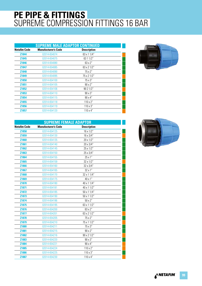|                     | <b>SUPREME MALE ADAPTOR CONTINUED</b> |                    |  |
|---------------------|---------------------------------------|--------------------|--|
| <b>Netafim Code</b> | <b>Manufacturer's Code</b>            | <b>Description</b> |  |
| <b>Z1844</b>        | 02014-654074                          | 63 x 1 1/4"        |  |
| Z1845               | 02014-654075                          | 63 1 1/2"          |  |
| Z1846               | 02014-654080                          | 63 x 2"            |  |
| <b>Z1847</b>        | 02014-654085                          | 63 x 2 1/2"        |  |
| <b>Z1848</b>        | 02014-654090                          | $75 \times 2"$     |  |
| Z1849               | 02014-654095                          | 75 x 2 1/2"        |  |
| <b>Z1850</b>        | 02014-654100                          | 75 x 3"            |  |
| Z1851               | 02014-654105                          | $90 \times 2$ "    |  |
| Z1852               | 02014-654106                          | 90 2 1/2"          |  |
| Z1853               | 02014-654110                          | $90 \times 3"$     |  |
| Z1854               | 02014-654115                          | $90 \times 4"$     |  |
| Z1855               | 02014-654118                          | $110 \times 2"$    |  |
| Z1856               | 02014-654119                          | $110 \times 3"$    |  |
| Z1857               | 02014-654120                          | $110 \times 4"$    |  |



| <b>SUPREME FEMALE ADAPTOR</b> |                            |                    |  |
|-------------------------------|----------------------------|--------------------|--|
| <b>Netafim Code</b>           | <b>Manufacturer's Code</b> | <b>Description</b> |  |
| Z1858                         | 02014-654125               | 16 x 1/2"          |  |
| Z1859                         | 02014-654130               | 16 x 3/4"          |  |
| Z1860                         | 02014-654135               | 20 x 1/2"          |  |
| Z1861                         | 02014-654140               | 20 x 3/4"          |  |
| Z1862                         | 02014-654145               | 25 x 1/2"          |  |
| Z1863                         | 02014-654150               | 25 x 3/4"          |  |
| Z1864                         | 02014-654155               | 25 x 1"            |  |
| Z1865                         | 02014-654159               | 32 x 1/2"          |  |
| Z1866                         | 02014-654160               | 32 x 3/4"          |  |
| Z1867                         | 02014-654165               | 32 x 1"            |  |
| Z1868                         | 02014-654170               | 32 x 1 1/4"        |  |
| Z1869                         | 02014-654175               | 40 x 1"            |  |
| Z1870                         | 02014-654180               | 40 x 1 1/4"        |  |
| Z1871                         | 02014-654181               | 40 x 1 1/2"        |  |
| Z1872                         | 02014-654185               | 50 x 1 1/4"        |  |
| Z1873                         | 02014-654190               | $50 \times 11/2"$  |  |
| Z1874                         | 02014-654186               | $50 \times 2"$     |  |
| Z1875                         | 02014-654195               | 63 x 1 1/2"        |  |
| Z1876                         | 02014-654200               | 63 x 2"            |  |
| Z1877                         | 02014-654201               | 63 x 2 1/2"        |  |
| Z1878                         | 02014-654205               | 75 x 2"            |  |
| Z1879                         | 02014-654210               | 75 x 1 1/2"        |  |
| Z1880                         | 02014-654211               | 75 x 3"            |  |
| Z1881                         | 02014-654215               | 90 x 2"            |  |
| Z1882                         | 02014-654216               | 90 x 2 1/2"        |  |
| Z1883                         | 02014-654220               | 90 x 3"            |  |
| Z1884                         | 02014-654221               | 90 x 4"            |  |
| Z1885                         | 02014-654224               | 110 x 2"           |  |
| Z1886                         | 02014-654225               | 110 x 3"           |  |
| Z1887                         | 02014-654230               | $110 \times 4"$    |  |

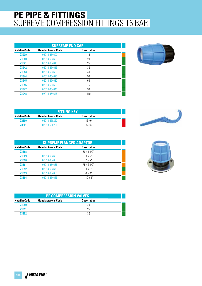|                     | <b>SUPREME END CAP</b>     |                    |  |  |
|---------------------|----------------------------|--------------------|--|--|
| <b>Netafim Code</b> | <b>Manufacturer's Code</b> | <b>Description</b> |  |  |
| Z1939               | 02014-654600               | 16                 |  |  |
| <b>Z1940</b>        | 02014-654605               | 20                 |  |  |
| Z1941               | 02014-654610               | 25                 |  |  |
| <b>Z1942</b>        | 02014-654615               | 32                 |  |  |
| Z1943               | 02014-654620               | 40                 |  |  |
| Z1944               | 02014-654625               | 50                 |  |  |
| Z1945               | 02014-654630               | 63                 |  |  |
| <b>Z1946</b>        | 02014-654635               | 75                 |  |  |
| <b>Z1947</b>        | 02014-654640               | 90                 |  |  |
| Z1948               | 02014-654645               | 110                |  |  |



| <b>FITTING KEY</b>                                               |              |           |  |  |
|------------------------------------------------------------------|--------------|-----------|--|--|
| Netafim Code<br><b>Manufacturer's Code</b><br><b>Description</b> |              |           |  |  |
| <b>Z8300</b>                                                     | 02013-650250 | $16 - 40$ |  |  |
| 78301                                                            | 02013-650251 | $32 - 63$ |  |  |

|                     | <b>SUPREME FLANGED ADAPTOR</b> |                    |  |  |
|---------------------|--------------------------------|--------------------|--|--|
| <b>Netafim Code</b> | <b>Manufacturer's Code</b>     | <b>Description</b> |  |  |
| Z1888               |                                | 50 x 1 1/2"        |  |  |
| Z1889               | 02014-654650                   | $50 \times 2$ "    |  |  |
| <b>Z1890</b>        | 02014-654655                   | $63 \times 2"$     |  |  |
| Z1891               | 02014-654665                   | 75 x 2 1/2"        |  |  |
| Z1892               | 02014-654675                   | $90 \times 3$ "    |  |  |
| Z1893               | 02014-654680                   | $90 \times 4"$     |  |  |
| Z1894               | 02014-654685                   | $110 \times 4"$    |  |  |



| <b>PE COMPRESSION VALVES</b> |                            |                    |  |
|------------------------------|----------------------------|--------------------|--|
| <b>Netafim Code</b>          | <b>Manufacturer's Code</b> | <b>Description</b> |  |
| <b>Z1950</b>                 |                            | 20                 |  |
| <b>Z1951</b>                 |                            | 25                 |  |
| <b>Z1952</b>                 |                            | 32                 |  |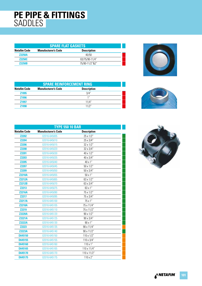#### **PE PIPE & FITTINGS** SADDLES

| <b>SPARE FLAT GASKETS</b>                                               |  |                |  |  |
|-------------------------------------------------------------------------|--|----------------|--|--|
| <b>Netafim Code</b><br><b>Description</b><br><b>Manufacturer's Code</b> |  |                |  |  |
| <b>Z2250A</b>                                                           |  | 40/50          |  |  |
| <b>Z2250C</b>                                                           |  | 63/75/90-11/4" |  |  |
| <b>Z2250B</b>                                                           |  | 75/90-11/2"&2" |  |  |



| <b>SPARE REINFORCEMENT RING</b> |                            |                    |  |
|---------------------------------|----------------------------|--------------------|--|
| <b>Netafim Code</b>             | <b>Manufacturer's Code</b> | <b>Description</b> |  |
| <b>Z1995</b>                    |                            | 3/4"               |  |
| <b>Z1996</b>                    |                            | 1 <sup>II</sup>    |  |
| <b>Z1997</b>                    |                            | 11/4"              |  |
| 71998                           |                            | 11/2"              |  |



| <b>TYPE 550 10 BAR</b> |                            |                    |  |
|------------------------|----------------------------|--------------------|--|
| <b>Netafim Code</b>    | <b>Manufacturer's Code</b> | <b>Description</b> |  |
| <b>Z2202</b>           | 02016-645005               | 25 x 1/2"          |  |
| <b>Z2204</b>           | 02016-645010               | 25 x 3/4"          |  |
| <b>Z2206</b>           | 02016-645015               | 32 x 1/2"          |  |
| <b>Z2208</b>           | 02016-645020               | 32 x 3/4"          |  |
| <b>Z2201</b>           | 02016-645030               | 40 x 1/2"          |  |
| <b>Z2203</b>           | 02016-645035               | 40 x 3/4"          |  |
| <b>Z2205</b>           | 02016-645040               | 40 x 1"            |  |
| <b>Z2207</b>           | 02016-645045               | $50 \times 1/2"$   |  |
| <b>Z2209</b>           | 02016-645050               | 50 x 3/4"          |  |
| <b>Z2210A</b>          | 02016-645055               | 50x1''             |  |
| <b>Z2212A</b>          | 02016-645065               | 63 x 1/2"          |  |
| <b>Z2212B</b>          | 02016-645070               | 63 x 3/4"          |  |
| Z2213                  | 02016-645075               | 63 x 1"            |  |
| <b>Z2216A</b>          | 02016-645090               | 75 x 1/2"          |  |
| <b>Z2217</b>           | 02016-645095               | 75 x 3/4"          |  |
| <b>Z2217A</b>          | 02016-645100               | 75 x 1"            |  |
| <b>Z2218A</b>          | 02016-645105               | 75 x 11/4"         |  |
| Z2219                  | 02016-645110               | 75 x 11/2"         |  |
| <b>Z2220A</b>          | 02016-645120               | 90 x 1/2"          |  |
| <b>Z2221A</b>          | 02016-645125               | $90 \times 3/4"$   |  |
| <b>Z2222A</b>          | 02016-645130               | 90 x 1"            |  |
| <b>Z2223</b>           | 02016-645135               | 90 x 11/4"         |  |
| <b>Z2223A</b>          | 02016-645140               | 90 x 11/2"         |  |
| D645150                | 02016-645150               | 110 x 1/2"         |  |
| D645155                | 02016-645155               | 110 x 3/4"         |  |
| D645160                | 02016-645160               | $110 \times 1"$    |  |
| D645165                | 02016-645165               | 110 x 11/4"        |  |
| D645170                | 02016-645170               | 110 x 11/2"        |  |
| D645175                | 02016-645175               | 110 x 2"           |  |
|                        |                            |                    |  |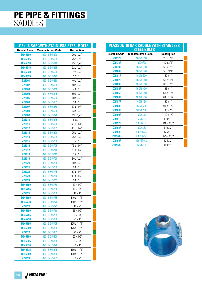#### **PE PIPE & FITTINGS** SADDLES

|                     | <b>+GF+ 16 BAR WITH STAINLESS STEEL BOLTS</b> |                    |
|---------------------|-----------------------------------------------|--------------------|
| <b>Netafim Code</b> | <b>Manufacturer's Code</b>                    | <b>Description</b> |
| D645600             | 02016-645600                                  | 20 x 1/2"          |
| D645605             | 02016-645605                                  | 25 x 1/2"          |
| D645610             | 02016-645610                                  | 25 x 3/4"          |
| D645615             | 02016-645615                                  | 32 x 1/2"          |
| D645620             | 02016-645620                                  | 32 x 3/4"          |
| D645625             | 02016-645625                                  | 32 x 1"            |
| Z22001              | 02016-645630                                  | 40 x 1/2"          |
| <b>Z22002</b>       | 02016-645635                                  | 40 x 3/4"          |
| Z22003              | 02016-645640                                  | 40 x 1"            |
| Z22004              | 02016-645645                                  | 50 x 1/2"          |
| Z22005              | 02016-645650                                  | 50 x 3/4"          |
| Z22006              | 02016-645655                                  | $50 \times 1"$     |
| Z22007              | 02016-645660                                  | 50 x 11/4"         |
| Z22008              | 02016-645665                                  | 63 x 1/2"          |
| Z22009              | 02016-645670                                  | 63 x 3/4"          |
| Z22010              | 02016-645675                                  | 63 x 1"            |
| Z22011              | 02016-645680                                  | 63 x 11/4"         |
| Z22012              | 02016-645685                                  | 63 x 11/2"         |
| Z22013              | 02016-645690                                  | 75 x 1/2"          |
| Z22014              | 02016-645695                                  | 75 x 3/4"          |
| Z22015              |                                               | 75 x 1"            |
|                     | 02016-645700                                  |                    |
| Z22016              | 02016-645705                                  | 75 x 11/4"         |
| Z22017              | 02016-645710                                  | 75 x 11/2"         |
| <b>Z22018</b>       | 02016-645715                                  | 75 x 2"            |
| Z22019              | 02016-645720                                  | $90 \times 1/2"$   |
| <b>Z22020</b>       | 02016-645725                                  | 90 x 3/4"          |
| Z22021              | 02016-645730                                  | 90 x 1"            |
| <b>Z22022</b>       | 02016-645735                                  | 90 x 11/4"         |
| Z22023              | 02016-645740                                  | 90 x 11/2"         |
| <b>Z22024</b>       | 02016-645745                                  | 90 x 2"            |
| D645750             | 02016-645750                                  | 110 x 1/2"         |
| D645755             | 02016-645755                                  | 110 x 3/4"         |
| Z22025              | 02016-645760                                  | $110 \times 1"$    |
| D645765             | 02016-645765                                  | 110 x 11/4"        |
| D645770             | 02016-645770                                  | 110 x 11/2"        |
| <b>Z22026</b>       | 02016-645775                                  | $110 \times 2"$    |
| D645780             | 02016-645780                                  | 125 x 1/2"         |
| D645785             | 02016-645785                                  | 125 x 3/4"         |
| D645790             | 02016-645790                                  | 125 x 1"           |
| D645795             | 02016-645795                                  | 125 x 11/4"        |
| D645800             | 02016-645800                                  | 125 x 11/2"        |
| <b>Z22027</b>       | 02016-645805                                  | 125 x 2"           |
| D645860             | 02016-645860                                  | 160 x 1/2"         |
| D645865             | 02016-645865                                  | 160 x 3/4"         |
| D645870             | 02016-645870                                  | 160 x 1"           |
| D645875             | 02016-645875                                  | 160 x 11/4"        |
| D645880             | 02016-645880                                  | 160 x 11/2"        |
| <b>Z22028</b>       | 02016-645885                                  | 160 x 2"           |
|                     |                                               |                    |

| <b>Description</b><br><b>Manufacturer's Code</b><br>25 x 1/2"<br><b>Z8477P</b><br>16076D10<br>40 x 3/4"<br><b>Z8478P</b><br>16076F20<br>50 x 1/2"<br>Z8479P<br>16076G10<br>50 x 3/4"<br><b>Z8480P</b><br>16076G20<br>16076G30<br>$50 \times 1"$<br>Z8481P<br><b>Z8482P</b><br>16076G40<br>50 x 11/4<br>Z8483P<br>16076H10<br>63 x 1/2"<br>16076H30<br>63 x 1"<br>Z8484P<br>Z8485P<br>16076H40<br>63 x 11/4<br>Z8486P<br>16076H50<br>63 x 11/2<br>90 x 1"<br><b>Z8487P</b><br>16076K30<br><b>Z8488P</b><br>16076K50<br>90 x 11/2<br>90 x 2"<br>16076K60<br>Z8489P<br>16076L10<br>110 x 1/2<br><b>Z8490P</b><br>16076L30<br>$110 \times 1"$<br>Z8491P<br>Z8492P<br>16076L50<br>110 x 11/2<br>110 x 2"<br>Z8493P<br>16076L60<br>125 x 1"<br><b>Z8494P</b><br>16076M30<br><b>Z8495AP</b><br>16076M50<br>125 x 11/2<br>125 x 2"<br>Z8495P<br>16076M60<br>160 x 1"<br><b>Z8496AP</b><br>16076P30 |                     | PLASSON 16 BAR SADDLE WITH STAINLESS<br><b>STEEL BOLTS</b> |  |
|--------------------------------------------------------------------------------------------------------------------------------------------------------------------------------------------------------------------------------------------------------------------------------------------------------------------------------------------------------------------------------------------------------------------------------------------------------------------------------------------------------------------------------------------------------------------------------------------------------------------------------------------------------------------------------------------------------------------------------------------------------------------------------------------------------------------------------------------------------------------------------------------|---------------------|------------------------------------------------------------|--|
|                                                                                                                                                                                                                                                                                                                                                                                                                                                                                                                                                                                                                                                                                                                                                                                                                                                                                            | <b>Netafim Code</b> |                                                            |  |
|                                                                                                                                                                                                                                                                                                                                                                                                                                                                                                                                                                                                                                                                                                                                                                                                                                                                                            |                     |                                                            |  |
|                                                                                                                                                                                                                                                                                                                                                                                                                                                                                                                                                                                                                                                                                                                                                                                                                                                                                            |                     |                                                            |  |
|                                                                                                                                                                                                                                                                                                                                                                                                                                                                                                                                                                                                                                                                                                                                                                                                                                                                                            |                     |                                                            |  |
|                                                                                                                                                                                                                                                                                                                                                                                                                                                                                                                                                                                                                                                                                                                                                                                                                                                                                            |                     |                                                            |  |
|                                                                                                                                                                                                                                                                                                                                                                                                                                                                                                                                                                                                                                                                                                                                                                                                                                                                                            |                     |                                                            |  |
|                                                                                                                                                                                                                                                                                                                                                                                                                                                                                                                                                                                                                                                                                                                                                                                                                                                                                            |                     |                                                            |  |
|                                                                                                                                                                                                                                                                                                                                                                                                                                                                                                                                                                                                                                                                                                                                                                                                                                                                                            |                     |                                                            |  |
|                                                                                                                                                                                                                                                                                                                                                                                                                                                                                                                                                                                                                                                                                                                                                                                                                                                                                            |                     |                                                            |  |
|                                                                                                                                                                                                                                                                                                                                                                                                                                                                                                                                                                                                                                                                                                                                                                                                                                                                                            |                     |                                                            |  |
|                                                                                                                                                                                                                                                                                                                                                                                                                                                                                                                                                                                                                                                                                                                                                                                                                                                                                            |                     |                                                            |  |
|                                                                                                                                                                                                                                                                                                                                                                                                                                                                                                                                                                                                                                                                                                                                                                                                                                                                                            |                     |                                                            |  |
|                                                                                                                                                                                                                                                                                                                                                                                                                                                                                                                                                                                                                                                                                                                                                                                                                                                                                            |                     |                                                            |  |
|                                                                                                                                                                                                                                                                                                                                                                                                                                                                                                                                                                                                                                                                                                                                                                                                                                                                                            |                     |                                                            |  |
|                                                                                                                                                                                                                                                                                                                                                                                                                                                                                                                                                                                                                                                                                                                                                                                                                                                                                            |                     |                                                            |  |
|                                                                                                                                                                                                                                                                                                                                                                                                                                                                                                                                                                                                                                                                                                                                                                                                                                                                                            |                     |                                                            |  |
|                                                                                                                                                                                                                                                                                                                                                                                                                                                                                                                                                                                                                                                                                                                                                                                                                                                                                            |                     |                                                            |  |
|                                                                                                                                                                                                                                                                                                                                                                                                                                                                                                                                                                                                                                                                                                                                                                                                                                                                                            |                     |                                                            |  |
|                                                                                                                                                                                                                                                                                                                                                                                                                                                                                                                                                                                                                                                                                                                                                                                                                                                                                            |                     |                                                            |  |
|                                                                                                                                                                                                                                                                                                                                                                                                                                                                                                                                                                                                                                                                                                                                                                                                                                                                                            |                     |                                                            |  |
|                                                                                                                                                                                                                                                                                                                                                                                                                                                                                                                                                                                                                                                                                                                                                                                                                                                                                            |                     |                                                            |  |
|                                                                                                                                                                                                                                                                                                                                                                                                                                                                                                                                                                                                                                                                                                                                                                                                                                                                                            |                     |                                                            |  |

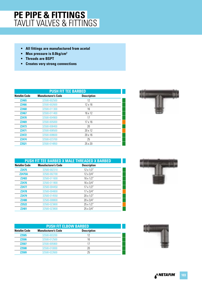- **All fittings are manufactured from acetal**
- **Max pressure is 8.0kg/cm2**
- **Threads are BSPT**
- **Creates very strong connections**

|                     | <b>PUSH FIT TEE BARBED</b> |                    |  |  |
|---------------------|----------------------------|--------------------|--|--|
| <b>Netafim Code</b> | <b>Manufacturer's Code</b> | <b>Description</b> |  |  |
| <b>Z2465</b>        | 32500-002500               | 12                 |  |  |
| <b>Z2466</b>        | 32500-002600               | $12 \times 16$     |  |  |
| <b>Z2468</b>        | 32500-011300               | 16                 |  |  |
| <b>Z2467</b>        | 32500-011400               | 16 x 12            |  |  |
| <b>Z2470</b>        | 32500-004900               | 17                 |  |  |
| <b>Z2469</b>        | 32500-005000               | $17 \times 16$     |  |  |
| <b>Z2473</b>        | 32500-008400               | 20                 |  |  |
| <b>Z2471</b>        | 32500-008500               | 20 x 12            |  |  |
| <b>Z2472</b>        | 32500-008600               | $20 \times 16$     |  |  |
| <b>Z2474</b>        | 32500-023700               | 25                 |  |  |
| <b>Z2521</b>        | 32500-014850               | 25 x 20            |  |  |



|                     |                            | <b>PUSH FIT TEE BARBED X MALE THREADED X BARBED</b> |  |
|---------------------|----------------------------|-----------------------------------------------------|--|
| <b>Netafim Code</b> | <b>Manufacturer's Code</b> | <b>Description</b>                                  |  |
| <b>Z2475</b>        | 32500-002310               | $12 \times 1/2"$                                    |  |
| <b>Z2475A</b>       | 32500-002700               | 12 x 3/4"                                           |  |
| <b>Z2483</b>        | 32500-011600               | $16 \times 1/2"$                                    |  |
| <b>Z2476</b>        | 32500-011800               | 16 x 3/4"                                           |  |
| <b>Z2477</b>        | 32500-004450               | $17 \times 1/2"$                                    |  |
| <b>Z2478</b>        | 32500-004800               | $17 \times 3/4"$                                    |  |
| <b>Z2479</b>        | 32500-014550               | $20 \times 1/2"$                                    |  |
| <b>Z2480</b>        | 32500-008800               | 20 x 3/4"                                           |  |
| <b>Z2522</b>        | 32500-023800               | 25 x 1/2"                                           |  |
| <b>Z2481</b>        | 32500-023800               | $25 \times 3/4"$                                    |  |

| <b>PUSH FIT ELBOW BARBED</b> |                            |                    |  |
|------------------------------|----------------------------|--------------------|--|
| <b>Netafim Code</b>          | <b>Manufacturer's Code</b> | <b>Description</b> |  |
| <b>Z2505</b>                 | 32500-003200               | 12                 |  |
| <b>Z2506</b>                 | 32500-012500               | 16                 |  |
| <b>Z2507</b>                 | 32500-005900               | 17                 |  |
| <b>Z2508</b>                 | 32500-010000               | 20                 |  |
| 72509                        | 32500-022600               | 25                 |  |

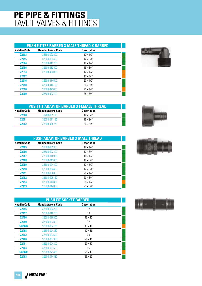#### **PUSH FIT TEE BARBED X MALE THREAD X BARBED**

| <b>Netafim Code</b> | <b>Manufacturer's Code</b> | <b>Description</b> |  |
|---------------------|----------------------------|--------------------|--|
| <b>Z2503</b>        | 32500-003300               | $12 \times 1/2"$   |  |
| <b>Z2495</b>        | 32500-003400               | $12 \times 3/4$ "  |  |
| <b>Z2504</b>        | 32500-012700               | $16 \times 1/2"$   |  |
| <b>Z2496</b>        | 32500-012800               | $16 \times 3/4"$   |  |
| <b>Z2514</b>        | 32500-006000               | $17 \times 1/2"$   |  |
| <b>Z2497</b>        |                            | $17 \times 3/4"$   |  |
| Z2516               | 32500-014500               | $20 \times 1/2"$   |  |
| <b>Z2498</b>        | 32500-010100               | 20 x 3/4"          |  |
| <b>Z2520</b>        | 32500-022650               | 25 x 1/2"          |  |
| <b>Z2499</b>        | 32500-022700               | 25 x 3/4"          |  |
|                     |                            |                    |  |



| <b>PUSH FIT ADAPTOR BARBED X FEMALE THREAD</b> |                            |                    |  |
|------------------------------------------------|----------------------------|--------------------|--|
| Netafim Code                                   | <b>Manufacturer's Code</b> | <b>Description</b> |  |
| <b>Z2500</b>                                   | 76200-002120               | $12 \times 3/4$ "  |  |
| <b>Z2501</b>                                   | 32500-011130               | $16 \times 3/4$ "  |  |
| 72502                                          | 32500-008270               | $20 \times 3/4"$   |  |



| <b>PUSH ADAPTOR BARBED X MALE THREAD</b> |                            |                    |  |
|------------------------------------------|----------------------------|--------------------|--|
| <b>Netafim Code</b>                      | <b>Manufacturer's Code</b> | <b>Description</b> |  |
| <b>Z2485</b>                             | 32500-002300               | $12 \times 1/2"$   |  |
| <b>Z2486</b>                             | 32500-002400               | $12 \times 3/4"$   |  |
| <b>Z2487</b>                             | 32500-010900               | $16 \times 1/2"$   |  |
| <b>Z2488</b>                             | 32500-011000               | $16 \times 3/4"$   |  |
| <b>Z2489</b>                             | 32500-004400               | $17 \times 1/2"$   |  |
| <b>Z2490</b>                             | 32500-004490               | $17 \times 3/4"$   |  |
| <b>Z2491</b>                             | 32500-008000               | $20 \times 1/2"$   |  |
| <b>Z2492</b>                             | 32500-008120               | $20 \times 3/4"$   |  |
| <b>Z2494</b>                             | 32500-014801               | $25 \times 1/2"$   |  |



**Z2493** 32500-014825 25 x 3/4"



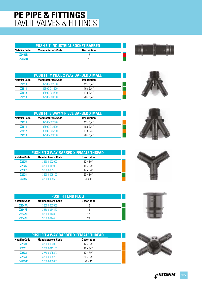| <b>PUSH FIT INDUSTRIAL SOCKET BARBED</b>                         |  |    |  |
|------------------------------------------------------------------|--|----|--|
| Netafim Code<br><b>Description</b><br><b>Manufacturer's Code</b> |  |    |  |
| <b>Z2459B</b>                                                    |  |    |  |
| 72462R                                                           |  | 20 |  |

| <b>PUSH FIT Y PIECE 2 WAY BARBED X MALE</b> |                            |                    |  |
|---------------------------------------------|----------------------------|--------------------|--|
| Netafim Code                                | <b>Manufacturer's Code</b> | <b>Description</b> |  |
| <b>Z2510</b>                                | 32500-002800               | $12 \times 3/4"$   |  |
| <b>Z2511</b>                                | 32500-011200               | $16 \times 3/4"$   |  |
| <b>Z2512</b>                                | 32500-004600               | $17 \times 3/4"$   |  |
| <b>Z2513</b>                                | 32500-008300               | $20 \times 3/4"$   |  |

| PUSH FIT 3 WAY Y PIECE BARBED X MALE |                            |                    |  |
|--------------------------------------|----------------------------|--------------------|--|
| <b>Netafim Code</b>                  | <b>Manufacturer's Code</b> | <b>Description</b> |  |
| <b>Z2515</b>                         | 32500-002820               | $12 \times 3/4"$   |  |
| <b>Z2511</b>                         | 32500-012400               | $16 \times 3/4"$   |  |
| <b>Z2512</b>                         | 32500-005200               | $17 \times 3/4"$   |  |
| 72518                                | 32500-009000               | $20 \times 3/4"$   |  |

| <b>PUSH FIT 3 WAY BARBED X FEMALE THREAD</b> |                            |                    |  |
|----------------------------------------------|----------------------------|--------------------|--|
| <b>Netafim Code</b>                          | <b>Manufacturer's Code</b> | <b>Description</b> |  |
| <b>Z2525</b>                                 | 32500-002900               | $12 \times 3/4"$   |  |
| <b>Z2526</b>                                 | 32500-011900               | $16 \times 3/4"$   |  |
| <b>Z2527</b>                                 | 32500-005100               | $17 \times 3/4"$   |  |
| <b>Z2528</b>                                 | 32500-009100               | $20 \times 3/4"$   |  |
| D450953                                      | 32500-009500               | 20x1''             |  |

| <b>PUSH FIT END PLUG</b> |                            |                    |  |
|--------------------------|----------------------------|--------------------|--|
| <b>Netafim Code</b>      | <b>Manufacturer's Code</b> | <b>Description</b> |  |
| <b>Z2547A</b>            | 32500-003505               | 12                 |  |
| <b>Z2547B</b>            | 32500-014440               | 16                 |  |
| <b>Z2547C</b>            | 32500-014350               | 17                 |  |
| <b>72547D</b>            | 32500-014455               | 20                 |  |

| <b>PUSH FIT 4 WAY BARBED X FEMALE THREAD</b> |                            |                    |  |
|----------------------------------------------|----------------------------|--------------------|--|
| <b>Netafim Code</b>                          | <b>Manufacturer's Code</b> | <b>Description</b> |  |
| <b>Z2530</b>                                 | 32500-003000               | $12 \times 3/4"$   |  |
| <b>Z2531</b>                                 | 32500-012100               | $16 \times 3/4"$   |  |
| <b>Z2532</b>                                 | 32500-005300               | $17 \times 3/4"$   |  |
| Z2533                                        | 32500-009200               | 20 x 3/4"          |  |
| D450960                                      | 32500-009600               | 20x1''             |  |











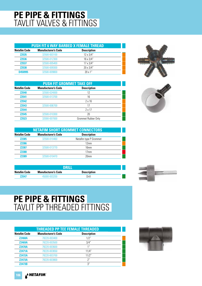|                     | <b>PUSH FIT 6 WAY BARBED X FEMALE THREAD</b> |                    |  |  |
|---------------------|----------------------------------------------|--------------------|--|--|
| <b>Netafim Code</b> | <b>Manufacturer's Code</b>                   | <b>Description</b> |  |  |
| <b>Z2535</b>        | 32500-003100                                 | $12 \times 3/4"$   |  |  |
| <b>Z2536</b>        | 32500-012300                                 | $16 \times 3/4"$   |  |  |
| <b>Z2537</b>        | 32500-005400                                 | $17 \times 3/4"$   |  |  |
| <b>Z2538</b>        | 32500-009300                                 | $20 \times 3/4"$   |  |  |
| D450995             | 32500-009800                                 | 20x1''             |  |  |

| <b>PUSH FIT GROMMET TAKE OFF</b> |                            |                     |  |
|----------------------------------|----------------------------|---------------------|--|
| <b>Netafim Code</b>              | <b>Manufacturer's Code</b> | <b>Description</b>  |  |
| <b>Z2540</b>                     | 32500-024000               | 12                  |  |
| <b>Z2541</b>                     | 32500-013700               | 16                  |  |
| <b>Z2542</b>                     |                            | $2 \times 16$       |  |
| <b>Z2543</b>                     | 32500-006700               | 17                  |  |
| <b>Z2544</b>                     |                            | $2 \times 17$       |  |
| <b>Z2545</b>                     | 32500-010300               | 20                  |  |
| <b>Z2523</b>                     | 32000-007000               | Grommet Rubber Only |  |





| <b>NETAFIM SHORT GROMMET CONNECTORS</b> |                            |                        |  |
|-----------------------------------------|----------------------------|------------------------|--|
| Netafim Code                            | <b>Manufacturer's Code</b> | <b>Description</b>     |  |
| <b>Z2385</b>                            | 32500-010460               | Netafim type P Grommet |  |
| <b>Z2386</b>                            |                            | 12mm                   |  |
| <b>Z2387</b>                            | 32500-013770               | 16 <sub>mm</sub>       |  |
| <b>Z2388</b>                            |                            | 17 <sub>mm</sub>       |  |
| <b>Z2389</b>                            | 32500-010470               | 20 <sub>mm</sub>       |  |

| וווסח               |                            |                    |  |  |
|---------------------|----------------------------|--------------------|--|--|
| <b>Netafim Code</b> | <b>Manufacturer's Code</b> | <b>Description</b> |  |  |
| 72547               | 45000-003200               | Drill              |  |  |



#### **PE PIPE & FITTINGS** TAVLIT PP THREADED FITTINGS

| <b>THREADED PP TEE FEMALE THREADED</b> |                            |                    |  |
|----------------------------------------|----------------------------|--------------------|--|
| <b>Netafim Code</b>                    | <b>Manufacturer's Code</b> | <b>Description</b> |  |
| <b>Z2468A</b>                          | 78220-003400               | 1/2"               |  |
| <b>Z2469A</b>                          | 78220-003500               | 3/4"               |  |
| <b>Z2470A</b>                          | 78220-003600               | 1 <sup>II</sup>    |  |
| <b>Z2471A</b>                          | 78220-003650               | 11/4"              |  |
| <b>Z2472A</b>                          | 78220-003700               | 11/2"              |  |
| <b>Z2473A</b>                          | 78220-003800               | 2"                 |  |
| <b>Z2473B</b>                          |                            | 3"                 |  |



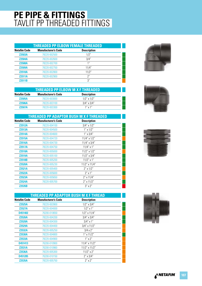#### **PE PIPE & FITTINGS** TAVLIT PP THREADED FITTINGS

| <b>THREADED PP ELBOW FEMALE THREADED</b> |                            |                    |  |
|------------------------------------------|----------------------------|--------------------|--|
| <b>Netafim Code</b>                      | <b>Manufacturer's Code</b> | <b>Description</b> |  |
| <b>Z2503A</b>                            | 78220-002500               | 1/2"               |  |
| <b>Z2504A</b>                            | 78220-002600               | 3/4"               |  |
| <b>Z2508A</b>                            | 78220-002700               | 1 <sup>II</sup>    |  |
| <b>Z2509A</b>                            | 78220-002750               | 11/4"              |  |
| <b>Z2510A</b>                            | 78220-002800               | 11/2"              |  |
| <b>Z2511A</b>                            | 78220-002900               | 2"                 |  |
| <b>Z2511B</b>                            |                            | 3''                |  |

| THREADED PP ELBOW M X F THREADED |                            |                    |  |
|----------------------------------|----------------------------|--------------------|--|
| <b>Netafim Code</b>              | <b>Manufacturer's Code</b> | <b>Description</b> |  |
| <b>Z2505A</b>                    | 78220-003000               | $1/2$ " x $1/2$ "  |  |
| <b>Z2506A</b>                    | 78220-003100               | $3/4$ " x $3/4$ "  |  |
| <b>Z2507A</b>                    | 78220-003300               | $1'' \times 1''$   |  |

|                     | <b>THREADED PP ADAPTOR BUSH M X F THREADED</b> |                     |
|---------------------|------------------------------------------------|---------------------|
| <b>Netafim Code</b> | <b>Manufacturer's Code</b>                     | <b>Description</b>  |
| <b>Z2512A</b>       | 78220-004100                                   | $3/4$ " x $1/2$ "   |
| <b>Z2513A</b>       | 78220-004500                                   | $1''$ x $1/2''$     |
| <b>Z2514A</b>       | 78220-004600                                   | $1'' \times 3/4''$  |
| <b>Z2515A</b>       | 78220-004720                                   | $11/4$ " x $1/2$ "  |
| <b>Z2516A</b>       | 78220-004730                                   | $11/4$ " x $3/4$ "  |
| <b>Z2517A</b>       | 78220-004750                                   | $11/4$ " x 1"       |
| <b>Z2518A</b>       | 78220-005000                                   | $11/2$ " x $1/2$ "  |
| <b>Z2519A</b>       | 78220-005100                                   | $11/2$ " x $3/4$ "  |
| <b>Z2518B</b>       | 78220-005200                                   | $11/2$ " x 1"       |
| <b>Z2520A</b>       | 78220-005230                                   | $11/2$ " x $11/4$ " |
| <b>Z2521A</b>       | 78220-005400                                   | $2'' \times 1/2''$  |
| <b>Z2522A</b>       | 78220-005600                                   | $2''$ x 1"          |
| <b>Z2523A</b>       | 78220-005650                                   | $2''$ x 11/4"       |
| <b>Z2524A</b>       | 78220-005700                                   | $2''$ x 11/2"       |
| <b>Z2535B</b>       |                                                | $3'' \times 2''$    |

|                     | <b>THREADED PP ADAPTOR BUSH M X F THREAD</b> |                    |  |  |  |
|---------------------|----------------------------------------------|--------------------|--|--|--|
| <b>Netafim Code</b> | <b>Manufacturer's Code</b>                   | <b>Description</b> |  |  |  |
| <b>Z2525A</b>       | 78220-003900                                 | $1/2$ " x $3/4$ "  |  |  |  |
| <b>Z2527A</b>       | 78220-004000                                 | $1/2$ " x 1"       |  |  |  |
| D451402             | 76200-010650                                 | $1/2$ " x $11/4$ " |  |  |  |
| <b>Z2526A</b>       | 78220-004200                                 | $3/4$ " x $3/4$ "  |  |  |  |
| <b>Z2528A</b>       | 78220-004300                                 | $3/4$ " x 1"       |  |  |  |
| <b>Z2529A</b>       | 78220-004400                                 | $3/4$ " x $11/2$ " |  |  |  |
| <b>Z2532A</b>       | 78220-005250                                 | $3/4 \times 2"$    |  |  |  |
| <b>Z2530A</b>       | 78220-004800                                 | $1''$ x $11/2''$   |  |  |  |
| <b>Z2533A</b>       | 78220-004900                                 | $1'' \times 2''$   |  |  |  |
| D451413             | 76200-010900                                 | 11/4" x 11/2"      |  |  |  |
| <b>Z2531A</b>       | 76200-010960                                 | 11/2" x 11/2"      |  |  |  |
| <b>Z2536A</b>       | 78220-005300                                 | $11/2$ " x 2"      |  |  |  |
| D451285             | 76200-010150                                 | $2''$ x $3/4''$    |  |  |  |
| <b>Z2535A</b>       | 78220-005750                                 | $2''$ x $2''$      |  |  |  |







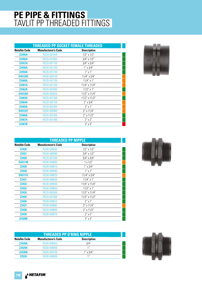#### **PE PIPE & FITTINGS** TAVLIT PP THREADED FITTINGS

|                     | <b>THREADED PP SOCKET FEMALE THREADED</b> |                    |  |
|---------------------|-------------------------------------------|--------------------|--|
| <b>Netafim Code</b> | <b>Manufacturer's Code</b>                | <b>Description</b> |  |
| <b>Z2455A</b>       | 78220-001000                              | $1/2$ " x $1/2$ "  |  |
| <b>Z2456A</b>       | 78220-001650                              | $3/4$ " x $1/2$ "  |  |
| <b>Z2457A</b>       | 78220-001100                              | $3/4$ " x $3/4$ "  |  |
| <b>Z2458A</b>       | 78220-001700                              | $1'' \times 3/4''$ |  |
| <b>Z2459A</b>       | 78220-001200                              | $1''$ x $1''$      |  |
| D451205             | 76200-009150                              | $11/4$ " x $3/4$ " |  |
| <b>Z2460A</b>       | 78220-001750                              | $11/4$ " x 1"      |  |
| <b>Z2461A</b>       | 78220-001250                              | 11/4" x 11/4"      |  |
| <b>Z2462A</b>       | 78220-002000                              | $11/2$ " x 1"      |  |
| D451204             | 76200-009250                              | 11/2" x 11/4"      |  |
| <b>Z2463A</b>       | 78220-001300                              | 11/2" x 11/2"      |  |
| <b>Z2464A</b>       | 78220-002100                              | $2''$ x $3/4''$    |  |
| <b>Z2465A</b>       | 78220-002200                              | $2''$ x 1"         |  |
| D451227             | 76200-009400                              | $2''$ x 11/4"      |  |
| <b>Z2466A</b>       | 78220-002300                              | 2" x 11/2"         |  |
| <b>Z2467A</b>       | 78220-001400                              | $2''$ x $2''$      |  |
| <b>Z2467B</b>       |                                           | $3'' \times 3''$   |  |



| THREADED PP NIPPLE  |                            |                    |  |
|---------------------|----------------------------|--------------------|--|
| <b>Netafim Code</b> | <b>Manufacturer's Code</b> | <b>Description</b> |  |
| <b>Z2426</b>        | 76200-008550               | $1/2$ " x $1/2$ "  |  |
| <b>Z2427</b>        | 76200-008590               | $3/4$ " x $1/2$ "  |  |
| <b>Z2428</b>        | 78220-007300               | $3/4$ " x $3/4$ "  |  |
| D451148             | 76200-008600               | $1 \times 1/2$ "   |  |
| <b>Z2430</b>        | 76200-008610               | $1'' \times 3/4''$ |  |
| <b>Z2429</b>        | 76200-008560               | $1'' \times 1''$   |  |
| D451151             | 76200-008620               | $11/4$ " x $3/4$ " |  |
| <b>Z2431</b>        | 76200-008630               | $11/4$ " x 1"      |  |
| Z2433               | 76200-008565               | 11/4" x 11/4"      |  |
| <b>Z2432</b>        | 76200-008650               | $11/2$ " x 1"      |  |
| <b>Z2434</b>        | 78220-008300               | 11/2" x 11/4"      |  |
| <b>Z2435</b>        | 78220-007500               | 11/2" x 11/2"      |  |
| <b>Z2436</b>        | 76200-008670               | $2'' \times 1''$   |  |
| <b>Z2437</b>        | 76200-008680               | $2''$ x 11/4"      |  |
| <b>Z2438</b>        | 78220-008600               | 2" x 11/2"         |  |
| Z2439               | 76200-008575               | $2'' \times 2''$   |  |
| <b>Z2428B</b>       |                            | $3''$ x $3''$      |  |

| <b>THREADED PP O'RING NIPPLE</b> |                            |                    |  |
|----------------------------------|----------------------------|--------------------|--|
| <b>Netafim Code</b>              | <b>Manufacturer's Code</b> | <b>Description</b> |  |
| <b>Z2428A</b>                    | 76200-008555               | 3/4"               |  |
| <b>Z2429A</b>                    | 76200-008000               | 1"                 |  |
| <b>Z2430A</b>                    | 76200-008100               | $1'' \times 3/4''$ |  |
| 72539                            | 76200-008000               | 11                 |  |



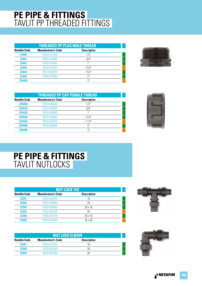#### **PE PIPE & FITTINGS** TAVLIT PP THREADED FITTINGS

| <b>THREADED PP PLUG MALE THREAD</b> |                            |                    |  |
|-------------------------------------|----------------------------|--------------------|--|
| <b>Netafim Code</b>                 | <b>Manufacturer's Code</b> | <b>Description</b> |  |
| <b>Z2440</b>                        | 76200-007650               | 1/2"               |  |
| <b>Z2441</b>                        | 76200-007660               | 3/4"               |  |
| <b>Z2442</b>                        | 76200-007665               | 1 <sup>''</sup>    |  |
| <b>Z2443</b>                        | 76200-007670               | 11/4"              |  |
| <b>Z2444</b>                        | 78220-006200               | 11/2"              |  |
| <b>Z2445</b>                        | 76200-007680               | 2"                 |  |
| <b>Z2445A</b>                       |                            | 3''                |  |



|                     | <b>THREADED PP CAP FEMALE THREAD</b> |                    |  |  |
|---------------------|--------------------------------------|--------------------|--|--|
| <b>Netafim Code</b> | <b>Manufacturer's Code</b>           | <b>Description</b> |  |  |
| <b>Z2540A</b>       | 78220-066400                         | 1/2"               |  |  |
| <b>Z2541A</b>       | 78220-006500                         | 3/4"               |  |  |
| <b>Z2542A</b>       | 78220-006600                         | 1 <sup>''</sup>    |  |  |
| <b>Z2543A</b>       | 78220-006650                         | 11/4"              |  |  |
| <b>Z2544A</b>       | 78220-006700                         | 11/2"              |  |  |
| <b>Z2545A</b>       | 76200-008500                         | $2^{\prime\prime}$ |  |  |
| <b>Z2545B</b>       |                                      | 3''                |  |  |



#### **PE PIPE & FITTINGS** TAVLIT NUTLOCKS

| <b>NUT LOCK TEE</b> |                            |                    |  |
|---------------------|----------------------------|--------------------|--|
| <b>Netafim Code</b> | <b>Manufacturer's Code</b> | <b>Description</b> |  |
| <b>Z2251</b>        | 76200-003500               | 16                 |  |
| <b>Z2252</b>        | 76200-003600               | 20                 |  |
| <b>Z2254</b>        | 76200-003900               | $20 \times 16$     |  |
| <b>Z2253</b>        | 76200-003700               | 25                 |  |
| <b>Z2256</b>        | 76200-004100               | $25 \times 16$     |  |
| <b>Z2255</b>        | 76200-004200               | 25 x 20            |  |



|                                                                         | <b>NUT LOCK ELBOW</b> |    |  |  |
|-------------------------------------------------------------------------|-----------------------|----|--|--|
| <b>Manufacturer's Code</b><br><b>Description</b><br><b>Netafim Code</b> |                       |    |  |  |
| <b>Z2257</b>                                                            | 76200-002200          | 16 |  |  |
| <b>Z2258</b><br>20<br>76200-002300                                      |                       |    |  |  |
| <b>Z2259</b>                                                            | 76200-002400          | 25 |  |  |

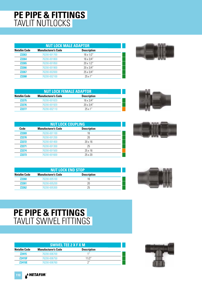#### **PE PIPE & FITTINGS** TAVLIT NUTLOCKS

| <b>NUT LOCK MALE ADAPTOR</b>                                            |              |                  |  |  |  |
|-------------------------------------------------------------------------|--------------|------------------|--|--|--|
| <b>Netafim Code</b><br><b>Manufacturer's Code</b><br><b>Description</b> |              |                  |  |  |  |
| <b>Z2263</b>                                                            | 76200-001700 | $16 \times 1/2"$ |  |  |  |
| <b>Z2264</b>                                                            | 76200-001800 | $16 \times 3/4"$ |  |  |  |
| <b>Z2265</b>                                                            | 76200-001850 | $20 \times 1/2"$ |  |  |  |
| <b>Z2266</b>                                                            | 76200-001900 | $20 \times 3/4"$ |  |  |  |
| <b>Z2267</b>                                                            | 76200-002000 | 25 x 3/4"        |  |  |  |
| 72268                                                                   | 76200-002100 | 25x1''           |  |  |  |



| <b>NUT LOCK FEMALE ADAPTOR</b>                                          |              |                  |  |  |
|-------------------------------------------------------------------------|--------------|------------------|--|--|
| <b>Manufacturer's Code</b><br><b>Description</b><br><b>Netafim Code</b> |              |                  |  |  |
| 72275                                                                   | 76200-001820 | $16 \times 3/4"$ |  |  |
| 72276                                                                   | 76200-001920 | $20 \times 3/4"$ |  |  |
| 79977                                                                   | 76200-002110 | 25x1''           |  |  |

|              | <b>NUT LOCK COUPLING</b>   |                    |  |  |  |
|--------------|----------------------------|--------------------|--|--|--|
| Code         | <b>Manufacturer's Code</b> | <b>Description</b> |  |  |  |
| <b>Z2269</b> | 76200-001100               | 16                 |  |  |  |
| <b>Z2270</b> | 76200-001200               | 20                 |  |  |  |
| <b>Z2272</b> | 76200-001400               | $20 \times 16$     |  |  |  |
| <b>Z2271</b> | 76200-001300               | 25                 |  |  |  |
| <b>Z2274</b> | 76200-001500               | $25 \times 16$     |  |  |  |
| <b>Z2273</b> | 76200-001600               | 25 x 20            |  |  |  |

|                                                                  | <b>NUT LOCK END STOP</b> |    |  |  |  |
|------------------------------------------------------------------|--------------------------|----|--|--|--|
| <b>Manufacturer's Code</b><br><b>Description</b><br>Netafim Code |                          |    |  |  |  |
| <b>Z2260</b>                                                     | 76200-005100             | 16 |  |  |  |
| <b>Z2261</b>                                                     | 76200-005200             | 20 |  |  |  |
| 72262                                                            | 76200-005300             | 25 |  |  |  |





## **PE PIPE & FITTINGS** TAVLIT SWIVEL FITTINGS

|                                                                         | <b>SWIVEL TEE 2 X F X M</b> |       |  |  |
|-------------------------------------------------------------------------|-----------------------------|-------|--|--|
| <b>Netafim Code</b><br><b>Description</b><br><b>Manufacturer's Code</b> |                             |       |  |  |
| <b>Z2415</b>                                                            | 76200-006700                | 1 "   |  |  |
| <b>Z2415F</b>                                                           | 76200-006750                | 11/2" |  |  |
| <b>Z2415E</b>                                                           | 76200-006760                | יי ר  |  |  |



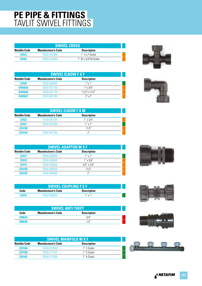#### **PE PIPE & FITTINGS** TAVLIT SWIVEL FITTINGS

| <b>SWIVEL CROSS</b>                                              |              |                 |  |
|------------------------------------------------------------------|--------------|-----------------|--|
| <b>Description</b><br>Netafim Code<br><b>Manufacturer's Code</b> |              |                 |  |
| 72423                                                            | 76200-007300 | 1" 4 x F Outlet |  |
| 1" 3F x 3/4"M Outlet<br>72425<br>76200-007600                    |              |                 |  |

| $\label{eq:1} \begin{array}{lll} \mathcal{L}_{\mathcal{A}}(\mathcal{A})=\mathcal{L}_{\mathcal{A}}(\mathcal{A})\mathcal{A}(\mathcal{A}) \end{array}$<br>$\overline{\phantom{a}}$ |  | t<br>Y. |
|---------------------------------------------------------------------------------------------------------------------------------------------------------------------------------|--|---------|

| <b>SWIVEL ELBOW F X F</b> |                            |                    |  |
|---------------------------|----------------------------|--------------------|--|
| <b>Netafim Code</b>       | <b>Manufacturer's Code</b> | <b>Description</b> |  |
| <b>Z2420</b>              | 76200-006900               | 1''x1''            |  |
| D455635                   | 76200-007100               | $1''$ x $3/4"$     |  |
| D455636                   | 76200-007150               | 11/2"x 11/2"       |  |
| D455637                   | 76200-007160               | $2''$ x $2''$      |  |



| <b>SWIVEL ELBOW F X M</b>                                               |              |                    |  |  |  |
|-------------------------------------------------------------------------|--------------|--------------------|--|--|--|
| <b>Manufacturer's Code</b><br><b>Description</b><br><b>Netafim Code</b> |              |                    |  |  |  |
| <b>Z2422</b>                                                            | 76200-007100 | $1'' \times 3/4''$ |  |  |  |
| <b>Z2421</b>                                                            | 76200-007000 | $1''$ x $1''$      |  |  |  |
| <b>Z2415B</b>                                                           | 11/2"        |                    |  |  |  |
| <b>72415A</b>                                                           | 76200-007160 | 2"                 |  |  |  |

| <b>SWIVEL ADAPTOR M X F</b>                                             |              |                    |  |  |  |
|-------------------------------------------------------------------------|--------------|--------------------|--|--|--|
| <b>Manufacturer's Code</b><br><b>Netafim Code</b><br><b>Description</b> |              |                    |  |  |  |
| <b>Z2417</b>                                                            | 76200-006400 | $1''$ x $1''$      |  |  |  |
| <b>Z2418</b><br>76200-006500                                            |              | $1'' \times 3/4''$ |  |  |  |
| <b>Z2419</b>                                                            | 76200-006300 | $3/4$ " x $3/4$ "  |  |  |  |
| <b>Z2415D</b>                                                           | 76200-006550 | 11/2"              |  |  |  |
| Z2415C                                                                  | 76200-006560 | 2"                 |  |  |  |

| Code  | <b>SWIVEL COUPLING F X F</b><br><b>Manufacturer's Code</b><br><b>Description</b> |                  |  |  |
|-------|----------------------------------------------------------------------------------|------------------|--|--|
| 79416 | 76200-006200                                                                     | $1'' \times 1''$ |  |  |

| <b>SWIVEL ANTI THEFT</b> |                                                  |      |  |  |  |
|--------------------------|--------------------------------------------------|------|--|--|--|
| Code                     | <b>Description</b><br><b>Manufacturer's Code</b> |      |  |  |  |
| <b>Z8062A</b>            |                                                  | 3/4" |  |  |  |
| <b>Z8062B</b>            |                                                  |      |  |  |  |

| <b>SWIVEL MANIFOLD M X F</b>                                            |              |             |  |  |
|-------------------------------------------------------------------------|--------------|-------------|--|--|
| <b>Netafim Code</b><br><b>Description</b><br><b>Manufacturer's Code</b> |              |             |  |  |
| <b>Z2416A</b>                                                           | 76200-013000 | 1" 2 Outlet |  |  |
| <b>Z2416B</b>                                                           | 76200-013100 | 1" 3 Outlet |  |  |
| <b>Z2416C</b>                                                           | 76200-013200 | 1" 4 Outlet |  |  |







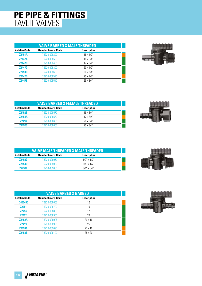#### **PE PIPE & FITTINGS** TAVLIT VALVES

| <b>VALVE BARBED X MALE THREADED</b> |                            |                    |  |
|-------------------------------------|----------------------------|--------------------|--|
| <b>Netafim Code</b>                 | <b>Manufacturer's Code</b> | <b>Description</b> |  |
| <b>Z2451A</b>                       | 76220-008200               | $16 \times 1/2"$   |  |
| <b>Z2447A</b>                       | 76220-008500               | $16 \times 3/4"$   |  |
| <b>Z2447B</b>                       | 76220-008400               | $17 \times 3/4"$   |  |
| <b>Z2447C</b>                       | 76220-008300               | $20 \times 1/2"$   |  |
| <b>Z2450B</b>                       | 76220-008600               | 20 x 3/4"          |  |
| <b>Z2447D</b>                       | 76220-008520               | 25 x 1/2"          |  |
| <b>Z2447E</b>                       | 76220-008510               | 25 x 3/4"          |  |



| <b>VALVE BARBED X FEMALE THREADED</b> |                            |                    |  |
|---------------------------------------|----------------------------|--------------------|--|
| <b>Netafim Code</b>                   | <b>Manufacturer's Code</b> | <b>Description</b> |  |
| <b>Z2452B</b>                         | 76220-008570               | $16 \times 3/4"$   |  |
| <b>Z2454A</b>                         | 76220-008550               | $17 \times 3/4"$   |  |
| <b>Z2450</b>                          | 76220-008650               | $20 \times 3/4"$   |  |
| <b>Z2452C</b>                         | 76220-008655               | $25 \times 3/4"$   |  |



| <b>VALVE MALE THREADED X MALE THREADED</b> |                            |                    |  |
|--------------------------------------------|----------------------------|--------------------|--|
| <b>Netafim Code</b>                        | <b>Manufacturer's Code</b> | <b>Description</b> |  |
| <b>Z2453C</b>                              | 76220-008950               | $1/2$ " x $1/2$ "  |  |
| <b>Z2453D</b>                              | 76220-009060               | $3/4$ " x $1/2$ "  |  |
| <b>Z2453E</b>                              | 76220-009050               | $3/4$ " x $3/4$ "  |  |



|                     | <b>VALVE BARBED X BARBED</b> |                    |  |  |  |
|---------------------|------------------------------|--------------------|--|--|--|
| <b>Netafim Code</b> | <b>Manufacturer's Code</b>   | <b>Description</b> |  |  |  |
| D455495             | 76220-008665                 | 12                 |  |  |  |
| <b>Z2451</b>        | 76220-008700                 | 16                 |  |  |  |
| <b>Z2454</b>        | 76220-008800                 | 17                 |  |  |  |
| <b>Z2452</b>        | 76220-008900                 | 20                 |  |  |  |
| <b>Z2452A</b>       | 76220-008905                 | $20 \times 16$     |  |  |  |
| <b>Z2453</b>        | 76220-008920                 | 25                 |  |  |  |
| <b>Z2453A</b>       | 76220-009090                 | $25 \times 16$     |  |  |  |
| <b>Z2453B</b>       | 76220-009100                 | 25 x 20            |  |  |  |